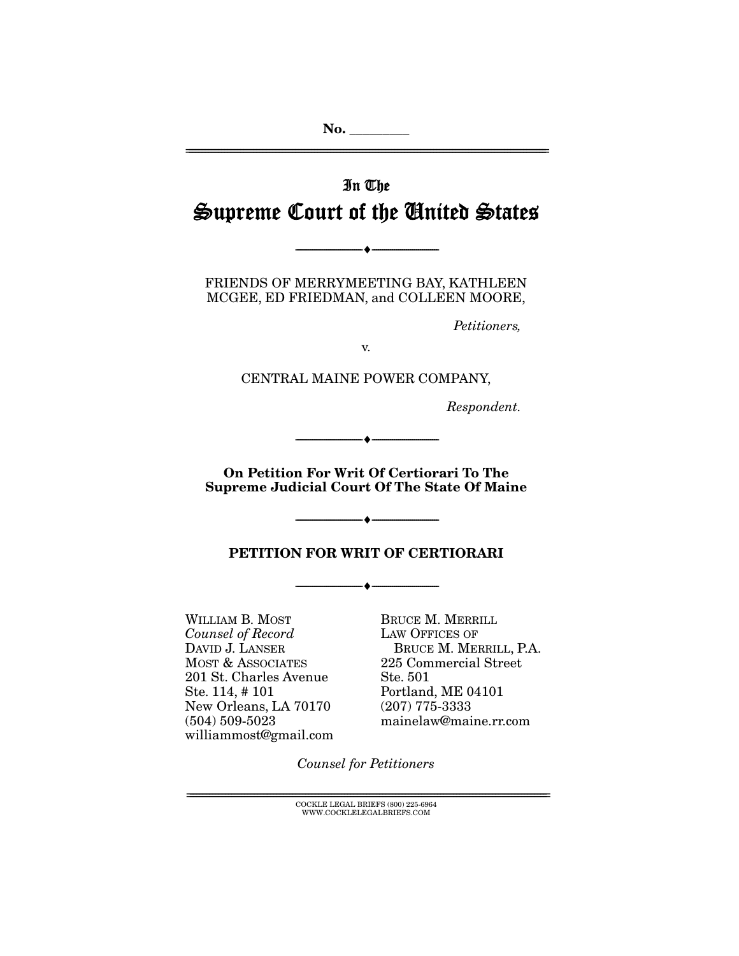# In The Supreme Court of the United States

FRIENDS OF MERRYMEETING BAY, KATHLEEN MCGEE, ED FRIEDMAN, and COLLEEN MOORE,

 $\longrightarrow \hspace{0.2cm} \longrightarrow$ 

Petitioners,

v.

CENTRAL MAINE POWER COMPANY,

Respondent.

**On Petition For Writ Of Certiorari To The Supreme Judicial Court Of The State Of Maine** 

--------------------------------- ♦ ---------------------------------

--------------------------------- ♦ ---------------------------------

## **PETITION FOR WRIT OF CERTIORARI**

--------------------------------- ♦ ---------------------------------

WILLIAM B. MOST Counsel of Record DAVID J. LANSER MOST & ASSOCIATES 201 St. Charles Avenue Ste. 114, # 101 New Orleans, LA 70170 (504) 509-5023 williammost@gmail.com

BRUCE M. MERRILL LAW OFFICES OF BRUCE M. MERRILL, P.A. 225 Commercial Street Ste. 501 Portland, ME 04101 (207) 775-3333 mainelaw@maine.rr.com

Counsel for Petitioners

 $\text{COCKLE LEGAL BRIEFS}$  (800) 225-6964 WWW.COCKLELEGALBRIEFS.COM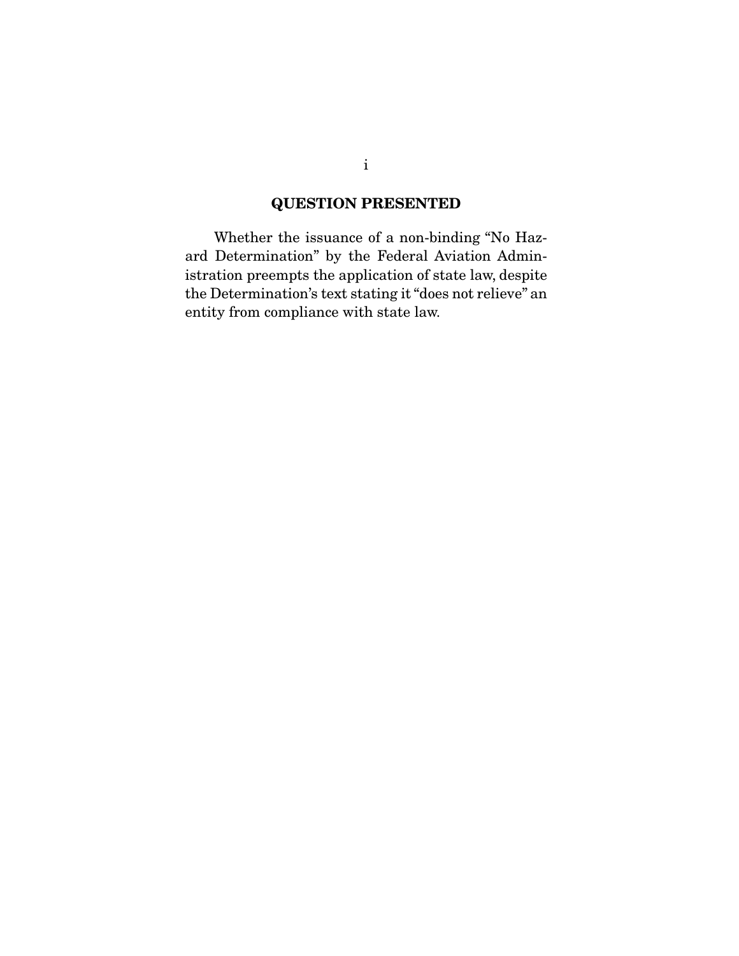# **QUESTION PRESENTED**

 Whether the issuance of a non-binding "No Hazard Determination" by the Federal Aviation Administration preempts the application of state law, despite the Determination's text stating it "does not relieve" an entity from compliance with state law.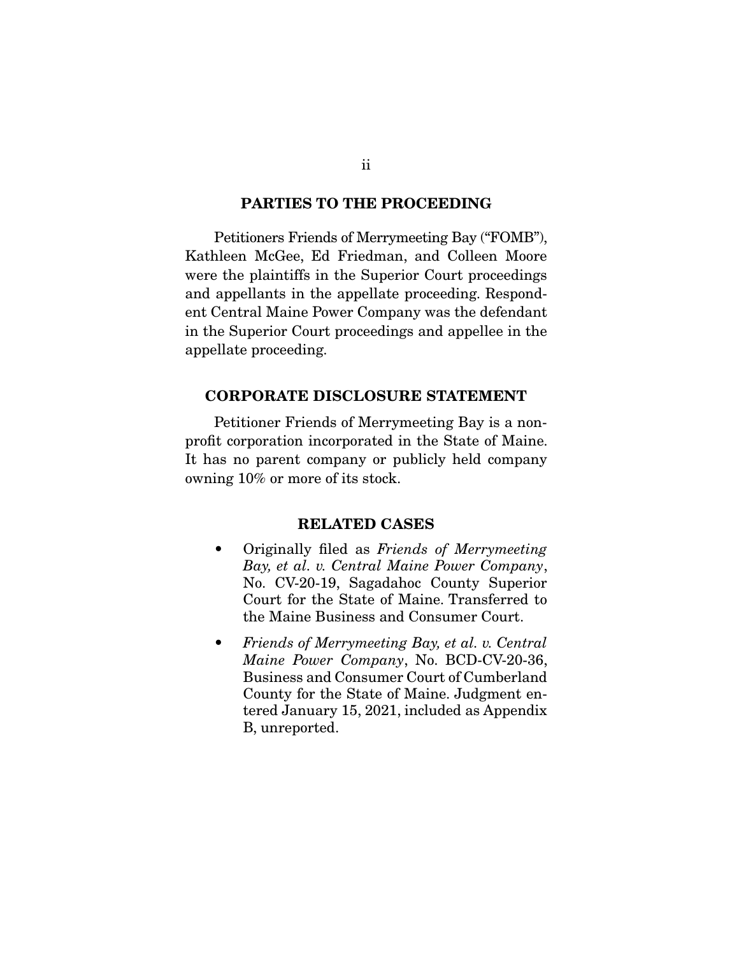#### **PARTIES TO THE PROCEEDING**

 Petitioners Friends of Merrymeeting Bay ("FOMB"), Kathleen McGee, Ed Friedman, and Colleen Moore were the plaintiffs in the Superior Court proceedings and appellants in the appellate proceeding. Respondent Central Maine Power Company was the defendant in the Superior Court proceedings and appellee in the appellate proceeding.

#### **CORPORATE DISCLOSURE STATEMENT**

 Petitioner Friends of Merrymeeting Bay is a nonprofit corporation incorporated in the State of Maine. It has no parent company or publicly held company owning 10% or more of its stock.

### **RELATED CASES**

- Originally filed as *Friends of Merrymeeting* Bay, et al. v. Central Maine Power Company, No. CV-20-19, Sagadahoc County Superior Court for the State of Maine. Transferred to the Maine Business and Consumer Court.
- Friends of Merrymeeting Bay, et al. v. Central Maine Power Company, No. BCD-CV-20-36, Business and Consumer Court of Cumberland County for the State of Maine. Judgment entered January 15, 2021, included as Appendix B, unreported.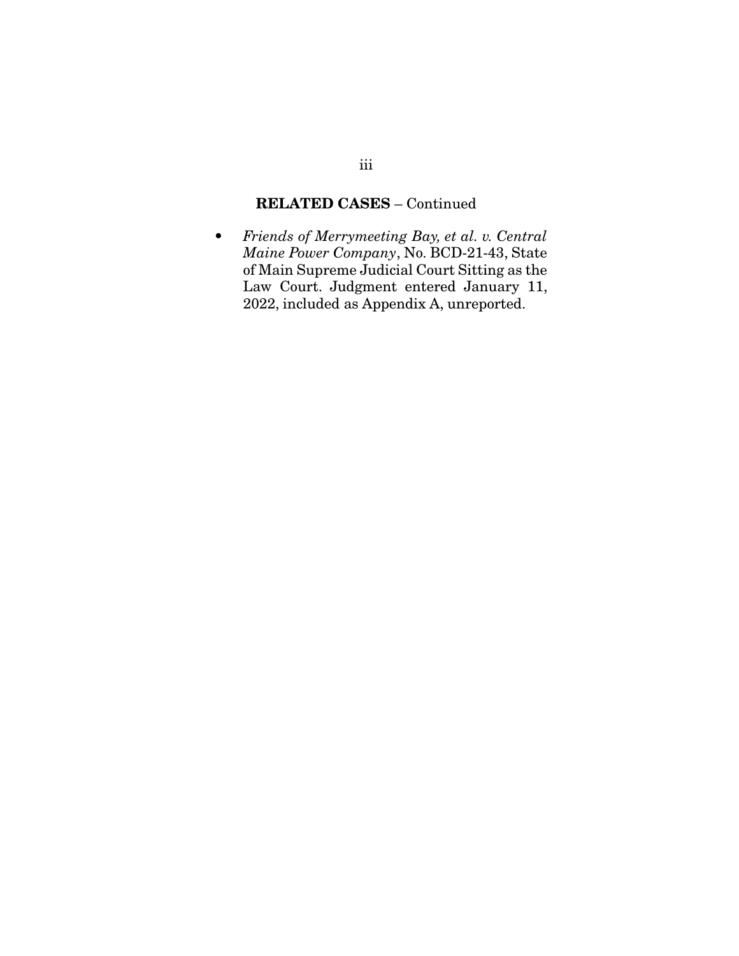# **RELATED CASES** – Continued

• Friends of Merrymeeting Bay, et al. v. Central Maine Power Company, No. BCD-21-43, State of Main Supreme Judicial Court Sitting as the Law Court. Judgment entered January 11, 2022, included as Appendix A, unreported.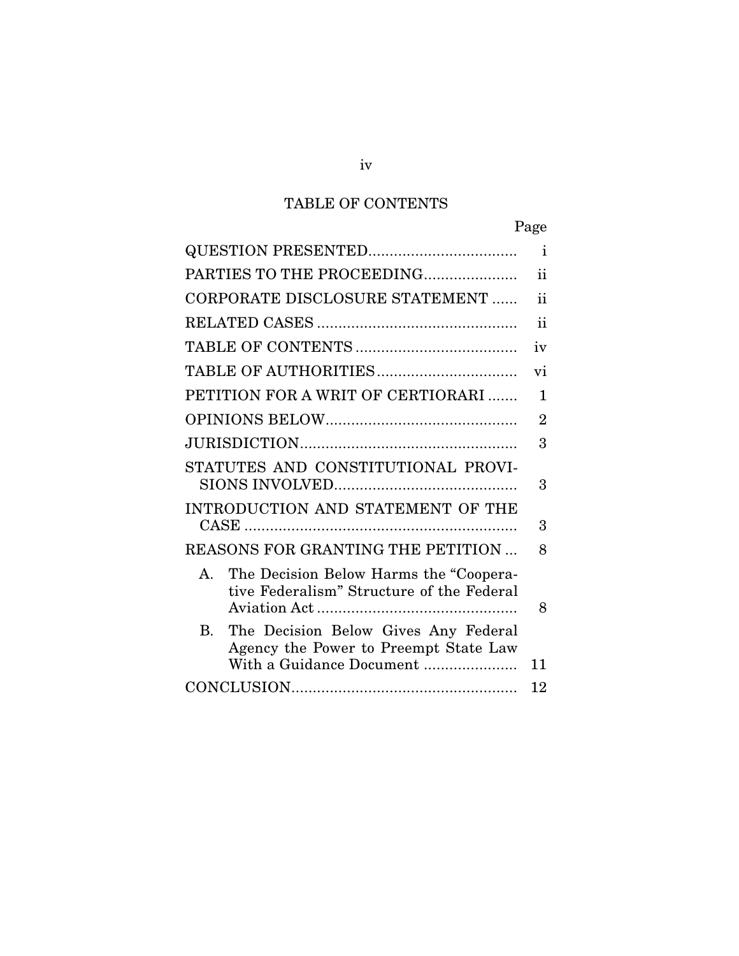# TABLE OF CONTENTS

|                                                                                                                             | Page           |
|-----------------------------------------------------------------------------------------------------------------------------|----------------|
|                                                                                                                             | $\mathbf{i}$   |
| PARTIES TO THE PROCEEDING                                                                                                   | ii             |
| CORPORATE DISCLOSURE STATEMENT                                                                                              | ii             |
|                                                                                                                             | ii             |
|                                                                                                                             | iv             |
|                                                                                                                             | vi             |
| PETITION FOR A WRIT OF CERTIORARI                                                                                           | 1              |
|                                                                                                                             | $\overline{2}$ |
|                                                                                                                             | 3              |
| STATUTES AND CONSTITUTIONAL PROVI-                                                                                          | 3              |
| INTRODUCTION AND STATEMENT OF THE                                                                                           | 3              |
| REASONS FOR GRANTING THE PETITION                                                                                           | 8              |
| The Decision Below Harms the "Coopera-<br>$A_{1}$<br>tive Federalism" Structure of the Federal                              | 8              |
| B <sub>r</sub><br>The Decision Below Gives Any Federal<br>Agency the Power to Preempt State Law<br>With a Guidance Document | 11             |
|                                                                                                                             | 12             |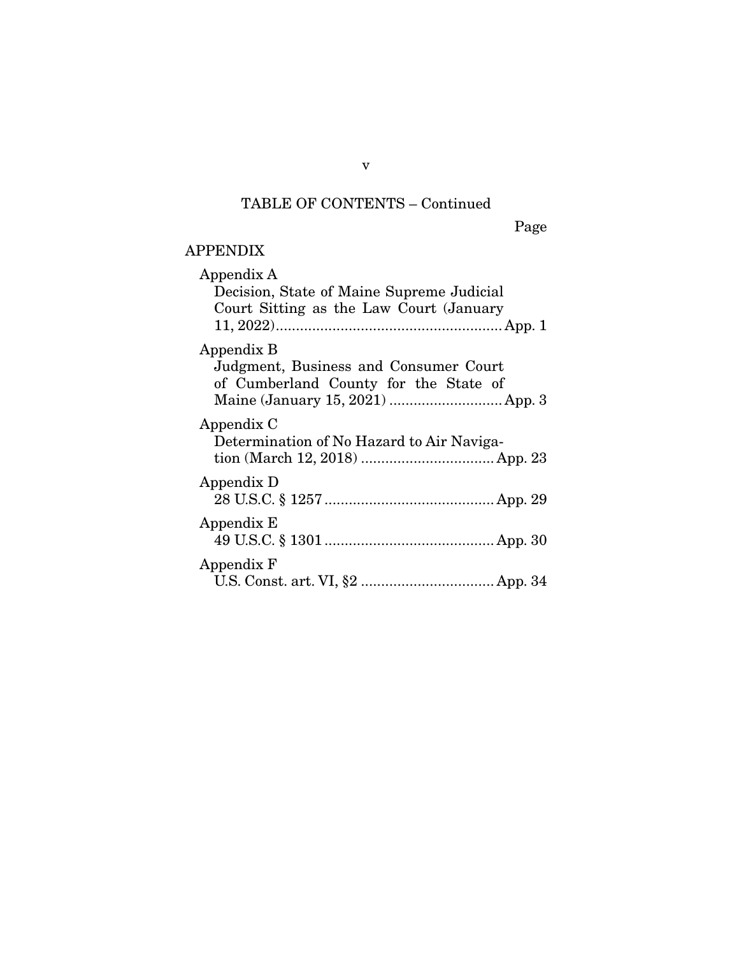# TABLE OF CONTENTS – Continued

Page

# APPENDIX

| Appendix A<br>Decision, State of Maine Supreme Judicial<br>Court Sitting as the Law Court (January |
|----------------------------------------------------------------------------------------------------|
| Appendix B<br>Judgment, Business and Consumer Court<br>of Cumberland County for the State of       |
| Appendix C<br>Determination of No Hazard to Air Naviga-                                            |
| Appendix D                                                                                         |
| Appendix E                                                                                         |
| Appendix F                                                                                         |

v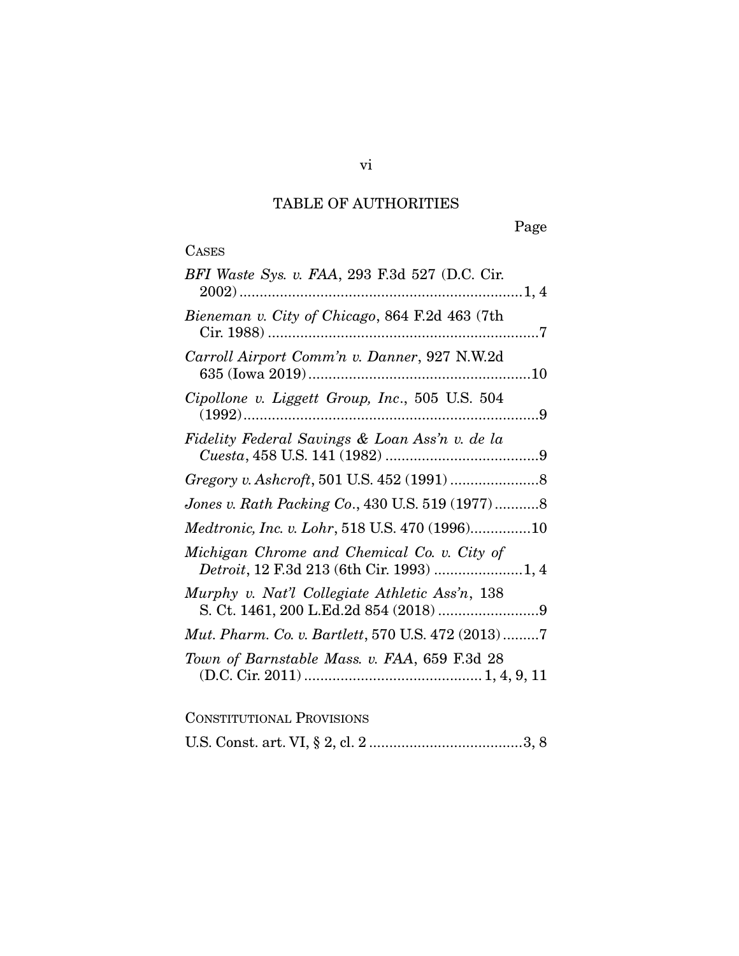# TABLE OF AUTHORITIES

# CASES

| BFI Waste Sys. v. FAA, 293 F.3d 527 (D.C. Cir.                   |
|------------------------------------------------------------------|
| Bieneman v. City of Chicago, 864 F.2d 463 (7th                   |
| Carroll Airport Comm'n v. Danner, 927 N.W.2d                     |
| Cipollone v. Liggett Group, Inc., 505 U.S. 504<br>$(1992) \dots$ |
| Fidelity Federal Savings & Loan Ass'n v. de la                   |
|                                                                  |
| Jones v. Rath Packing Co., 430 U.S. 519 (1977)8                  |
| Medtronic, Inc. v. Lohr, 518 U.S. 470 (1996)10                   |
| Michigan Chrome and Chemical Co. v. City of                      |
| Murphy v. Nat'l Collegiate Athletic Ass'n, 138                   |
| Mut. Pharm. Co. v. Bartlett, 570 U.S. 472 (2013)7                |
| Town of Barnstable Mass. v. FAA, 659 F.3d 28                     |
|                                                                  |

# CONSTITUTIONAL PROVISIONS

U.S. Const. art. VI, § 2, cl. 2 ...................................... 3, 8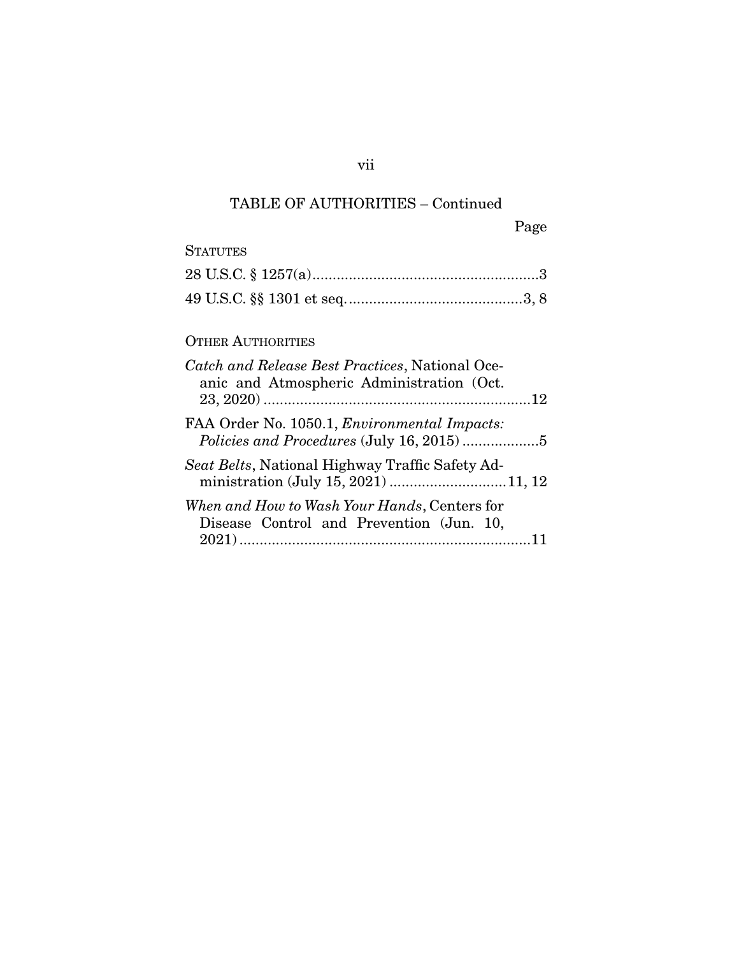# TABLE OF AUTHORITIES – Continued

Page

# **STATUTES**

# OTHER AUTHORITIES

| Catch and Release Best Practices, National Oce-<br>anic and Atmospheric Administration (Oct. |  |
|----------------------------------------------------------------------------------------------|--|
| FAA Order No. 1050.1, Environmental Impacts:                                                 |  |
| Seat Belts, National Highway Traffic Safety Ad-                                              |  |
| When and How to Wash Your Hands, Centers for<br>Disease Control and Prevention (Jun. 10,     |  |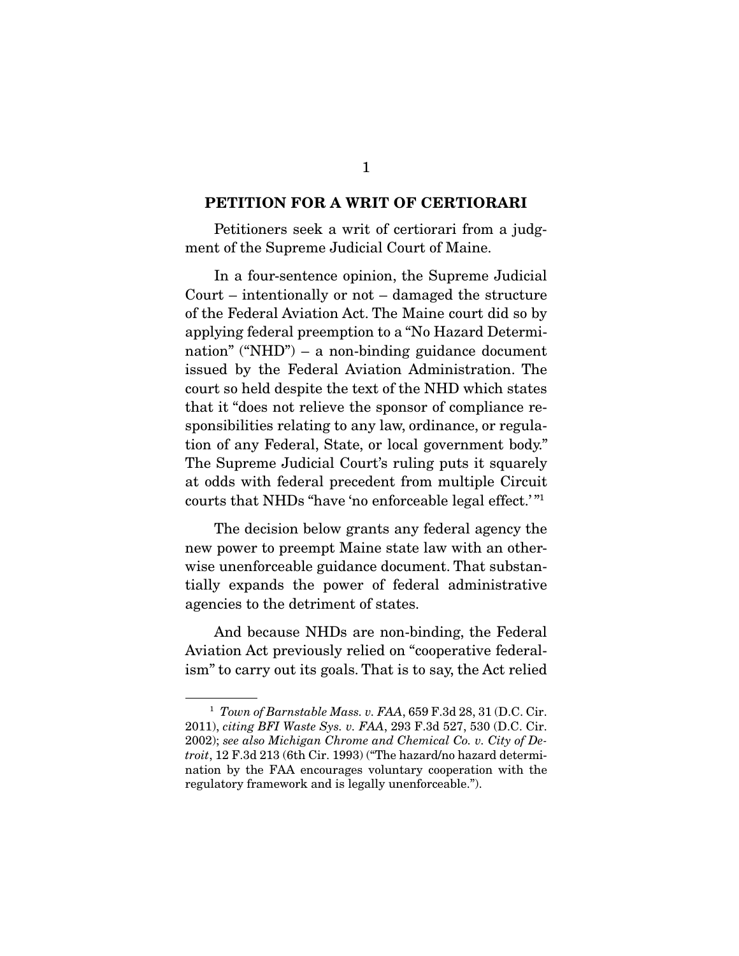### **PETITION FOR A WRIT OF CERTIORARI**

 Petitioners seek a writ of certiorari from a judgment of the Supreme Judicial Court of Maine.

 In a four-sentence opinion, the Supreme Judicial Court – intentionally or not – damaged the structure of the Federal Aviation Act. The Maine court did so by applying federal preemption to a "No Hazard Determination" ("NHD") – a non-binding guidance document issued by the Federal Aviation Administration. The court so held despite the text of the NHD which states that it "does not relieve the sponsor of compliance responsibilities relating to any law, ordinance, or regulation of any Federal, State, or local government body." The Supreme Judicial Court's ruling puts it squarely at odds with federal precedent from multiple Circuit courts that NHDs "have 'no enforceable legal effect.' "1

 The decision below grants any federal agency the new power to preempt Maine state law with an otherwise unenforceable guidance document. That substantially expands the power of federal administrative agencies to the detriment of states.

 And because NHDs are non-binding, the Federal Aviation Act previously relied on "cooperative federalism" to carry out its goals. That is to say, the Act relied

<sup>1</sup> *Town of Barnstable Mass. v. FAA*, 659 F.3d 28, 31 (D.C. Cir. 2011), *citing BFI Waste Sys. v. FAA*, 293 F.3d 527, 530 (D.C. Cir. 2002); *see also Michigan Chrome and Chemical Co. v. City of Detroit*, 12 F.3d 213 (6th Cir. 1993) ("The hazard/no hazard determination by the FAA encourages voluntary cooperation with the regulatory framework and is legally unenforceable.").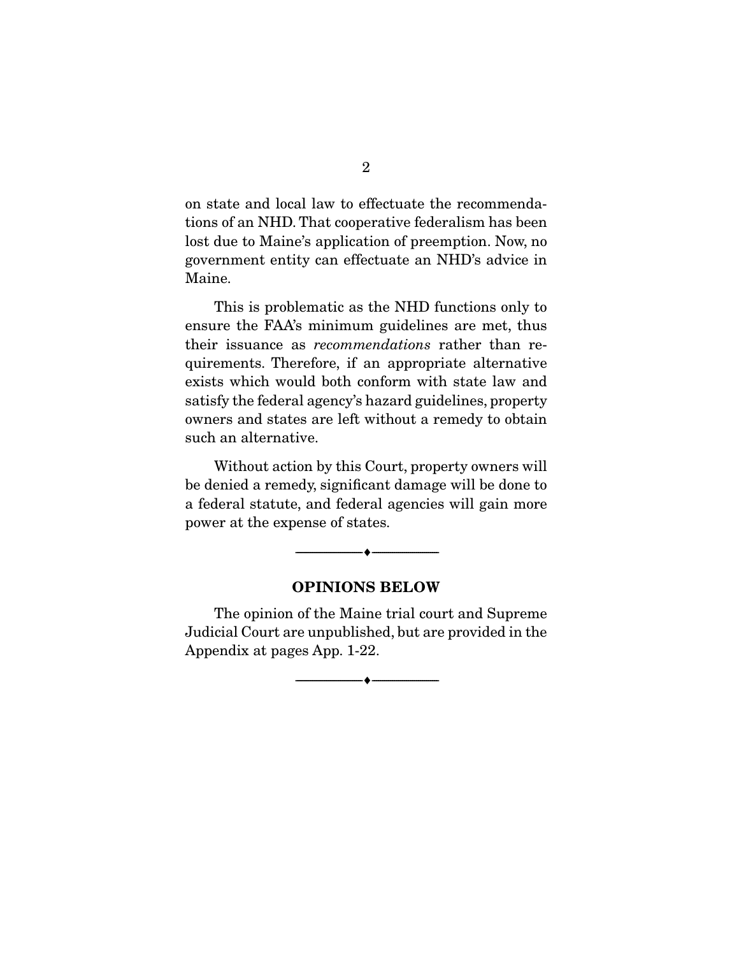on state and local law to effectuate the recommendations of an NHD. That cooperative federalism has been lost due to Maine's application of preemption. Now, no government entity can effectuate an NHD's advice in Maine.

 This is problematic as the NHD functions only to ensure the FAA's minimum guidelines are met, thus their issuance as *recommendations* rather than requirements. Therefore, if an appropriate alternative exists which would both conform with state law and satisfy the federal agency's hazard guidelines, property owners and states are left without a remedy to obtain such an alternative.

 Without action by this Court, property owners will be denied a remedy, significant damage will be done to a federal statute, and federal agencies will gain more power at the expense of states.

### **OPINIONS BELOW**

--------------------------------- ♦ ---------------------------------

 The opinion of the Maine trial court and Supreme Judicial Court are unpublished, but are provided in the Appendix at pages App. 1-22.

--------------------------------- ♦ ---------------------------------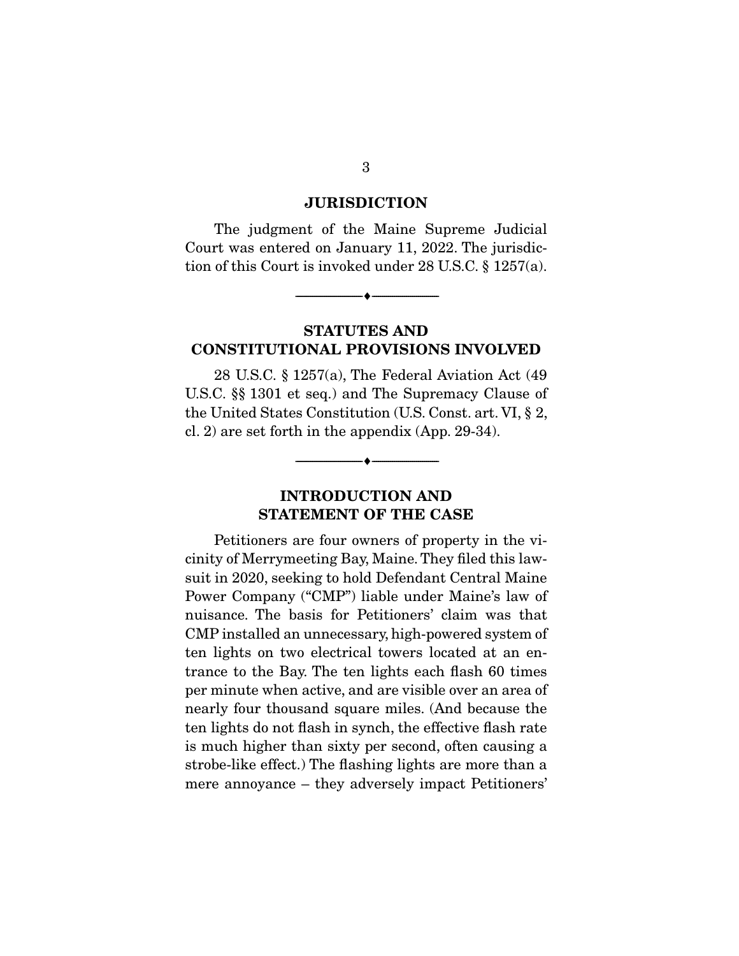#### **JURISDICTION**

 The judgment of the Maine Supreme Judicial Court was entered on January 11, 2022. The jurisdiction of this Court is invoked under 28 U.S.C. § 1257(a).

--------------------------------- ♦ ---------------------------------

## **STATUTES AND CONSTITUTIONAL PROVISIONS INVOLVED**

 28 U.S.C. § 1257(a), The Federal Aviation Act (49 U.S.C. §§ 1301 et seq.) and The Supremacy Clause of the United States Constitution (U.S. Const. art. VI, § 2, cl. 2) are set forth in the appendix (App. 29-34).

# **INTRODUCTION AND STATEMENT OF THE CASE**

--------------------------------- ♦ ---------------------------------

 Petitioners are four owners of property in the vicinity of Merrymeeting Bay, Maine. They filed this lawsuit in 2020, seeking to hold Defendant Central Maine Power Company ("CMP") liable under Maine's law of nuisance. The basis for Petitioners' claim was that CMP installed an unnecessary, high-powered system of ten lights on two electrical towers located at an entrance to the Bay. The ten lights each flash 60 times per minute when active, and are visible over an area of nearly four thousand square miles. (And because the ten lights do not flash in synch, the effective flash rate is much higher than sixty per second, often causing a strobe-like effect.) The flashing lights are more than a mere annoyance – they adversely impact Petitioners'

3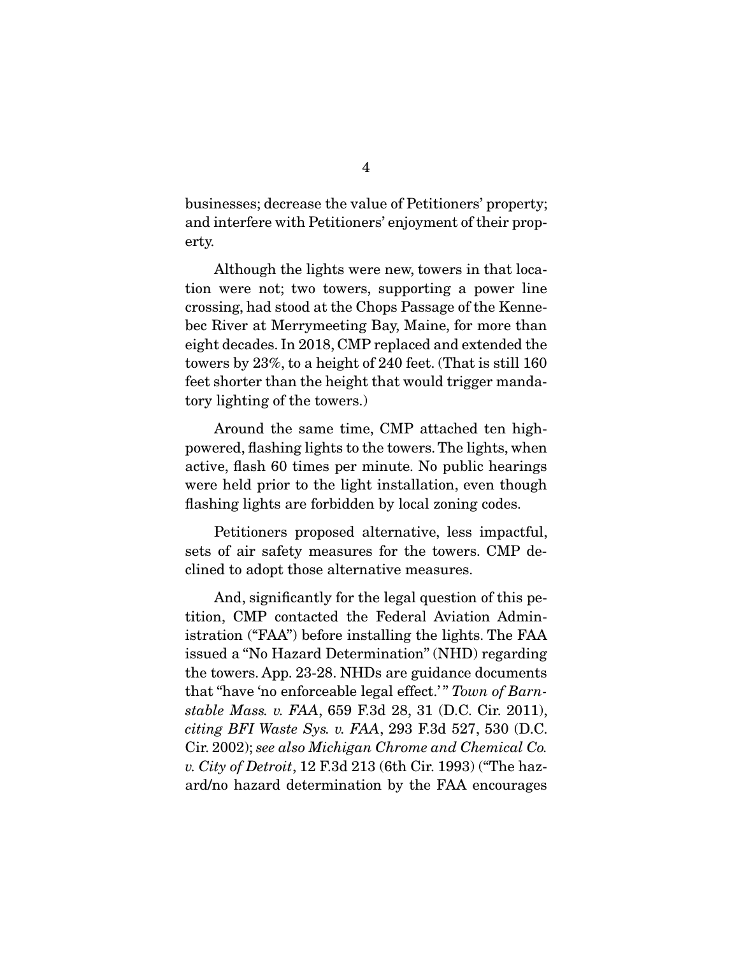businesses; decrease the value of Petitioners' property; and interfere with Petitioners' enjoyment of their property.

 Although the lights were new, towers in that location were not; two towers, supporting a power line crossing, had stood at the Chops Passage of the Kennebec River at Merrymeeting Bay, Maine, for more than eight decades. In 2018, CMP replaced and extended the towers by 23%, to a height of 240 feet. (That is still 160 feet shorter than the height that would trigger mandatory lighting of the towers.)

 Around the same time, CMP attached ten highpowered, flashing lights to the towers. The lights, when active, flash 60 times per minute. No public hearings were held prior to the light installation, even though flashing lights are forbidden by local zoning codes.

 Petitioners proposed alternative, less impactful, sets of air safety measures for the towers. CMP declined to adopt those alternative measures.

 And, significantly for the legal question of this petition, CMP contacted the Federal Aviation Administration ("FAA") before installing the lights. The FAA issued a "No Hazard Determination" (NHD) regarding the towers. App. 23-28. NHDs are guidance documents that "have 'no enforceable legal effect.' " *Town of Barnstable Mass. v. FAA*, 659 F.3d 28, 31 (D.C. Cir. 2011), *citing BFI Waste Sys. v. FAA*, 293 F.3d 527, 530 (D.C. Cir. 2002); *see also Michigan Chrome and Chemical Co. v. City of Detroit*, 12 F.3d 213 (6th Cir. 1993) ("The hazard/no hazard determination by the FAA encourages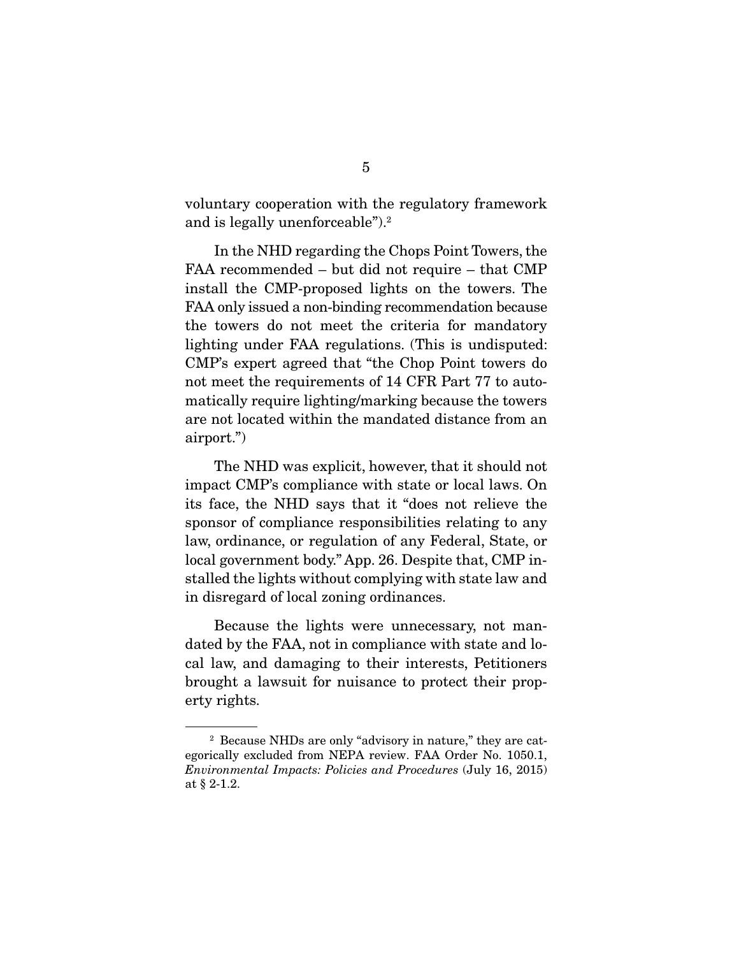voluntary cooperation with the regulatory framework and is legally unenforceable").2

 In the NHD regarding the Chops Point Towers, the FAA recommended – but did not require – that CMP install the CMP-proposed lights on the towers. The FAA only issued a non-binding recommendation because the towers do not meet the criteria for mandatory lighting under FAA regulations. (This is undisputed: CMP's expert agreed that "the Chop Point towers do not meet the requirements of 14 CFR Part 77 to automatically require lighting/marking because the towers are not located within the mandated distance from an airport.")

 The NHD was explicit, however, that it should not impact CMP's compliance with state or local laws. On its face, the NHD says that it "does not relieve the sponsor of compliance responsibilities relating to any law, ordinance, or regulation of any Federal, State, or local government body." App. 26. Despite that, CMP installed the lights without complying with state law and in disregard of local zoning ordinances.

 Because the lights were unnecessary, not mandated by the FAA, not in compliance with state and local law, and damaging to their interests, Petitioners brought a lawsuit for nuisance to protect their property rights.

<sup>2</sup> Because NHDs are only "advisory in nature," they are categorically excluded from NEPA review. FAA Order No. 1050.1, *Environmental Impacts: Policies and Procedures* (July 16, 2015) at § 2-1.2.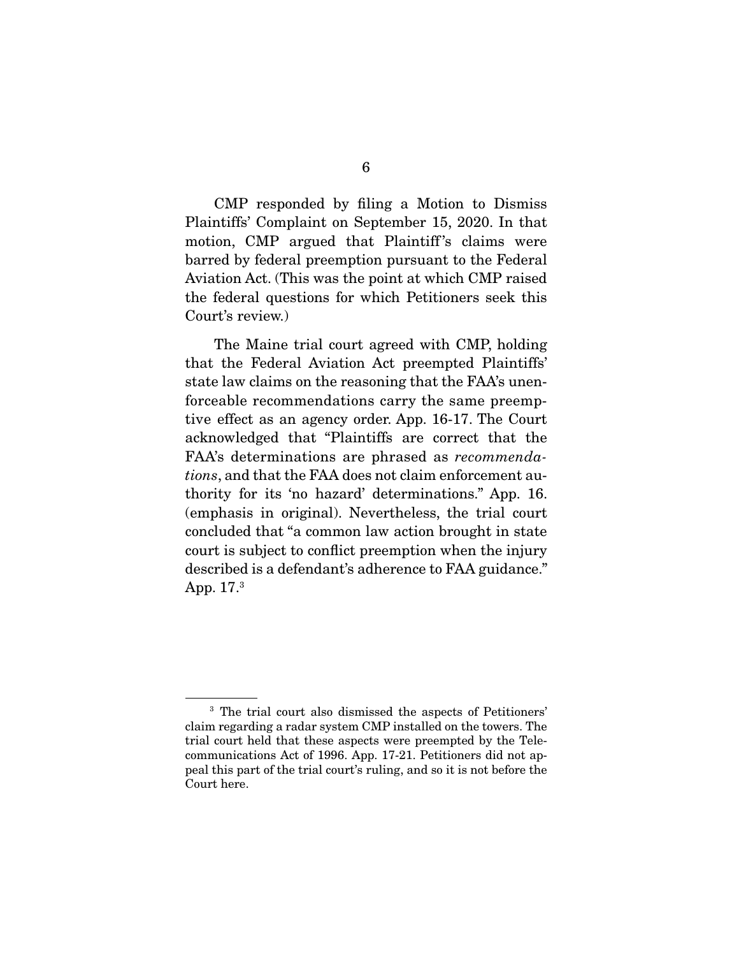CMP responded by filing a Motion to Dismiss Plaintiffs' Complaint on September 15, 2020. In that motion, CMP argued that Plaintiff's claims were barred by federal preemption pursuant to the Federal Aviation Act. (This was the point at which CMP raised the federal questions for which Petitioners seek this Court's review.)

 The Maine trial court agreed with CMP, holding that the Federal Aviation Act preempted Plaintiffs' state law claims on the reasoning that the FAA's unenforceable recommendations carry the same preemptive effect as an agency order. App. 16-17. The Court acknowledged that "Plaintiffs are correct that the FAA's determinations are phrased as *recommendations*, and that the FAA does not claim enforcement authority for its 'no hazard' determinations." App. 16. (emphasis in original). Nevertheless, the trial court concluded that "a common law action brought in state court is subject to conflict preemption when the injury described is a defendant's adherence to FAA guidance." App. 17.3

<sup>3</sup> The trial court also dismissed the aspects of Petitioners' claim regarding a radar system CMP installed on the towers. The trial court held that these aspects were preempted by the Telecommunications Act of 1996. App. 17-21. Petitioners did not appeal this part of the trial court's ruling, and so it is not before the Court here.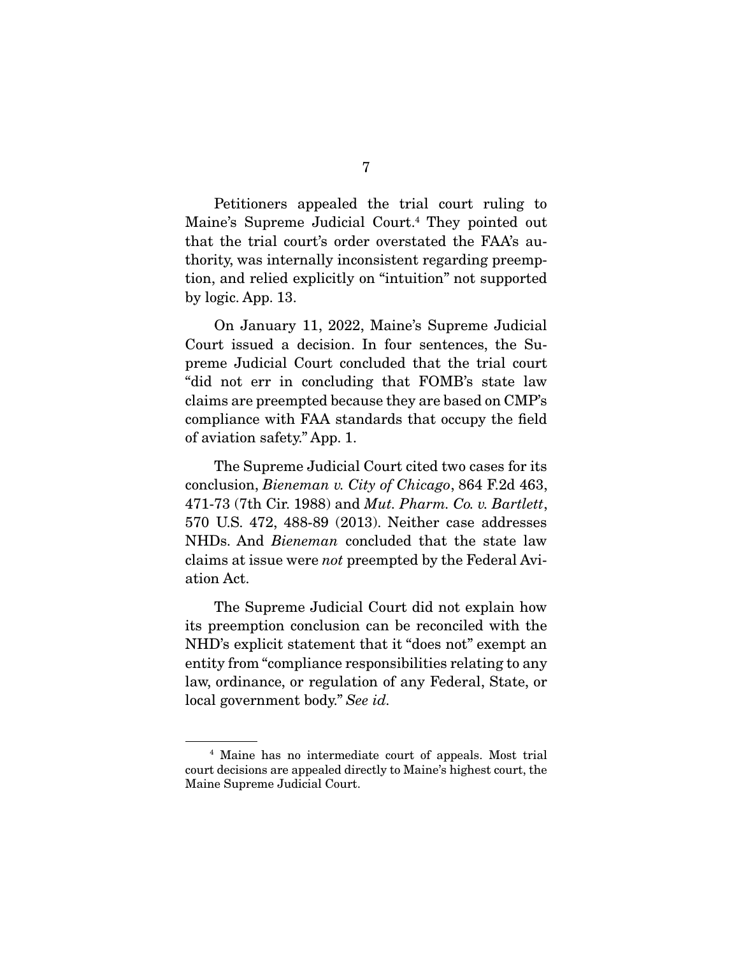Petitioners appealed the trial court ruling to Maine's Supreme Judicial Court.4 They pointed out that the trial court's order overstated the FAA's authority, was internally inconsistent regarding preemption, and relied explicitly on "intuition" not supported by logic. App. 13.

 On January 11, 2022, Maine's Supreme Judicial Court issued a decision. In four sentences, the Supreme Judicial Court concluded that the trial court "did not err in concluding that FOMB's state law claims are preempted because they are based on CMP's compliance with FAA standards that occupy the field of aviation safety." App. 1.

 The Supreme Judicial Court cited two cases for its conclusion, *Bieneman v. City of Chicago*, 864 F.2d 463, 471-73 (7th Cir. 1988) and *Mut. Pharm. Co. v. Bartlett*, 570 U.S. 472, 488-89 (2013). Neither case addresses NHDs. And *Bieneman* concluded that the state law claims at issue were *not* preempted by the Federal Aviation Act.

 The Supreme Judicial Court did not explain how its preemption conclusion can be reconciled with the NHD's explicit statement that it "does not" exempt an entity from "compliance responsibilities relating to any law, ordinance, or regulation of any Federal, State, or local government body." *See id.*

<sup>4</sup> Maine has no intermediate court of appeals. Most trial court decisions are appealed directly to Maine's highest court, the Maine Supreme Judicial Court.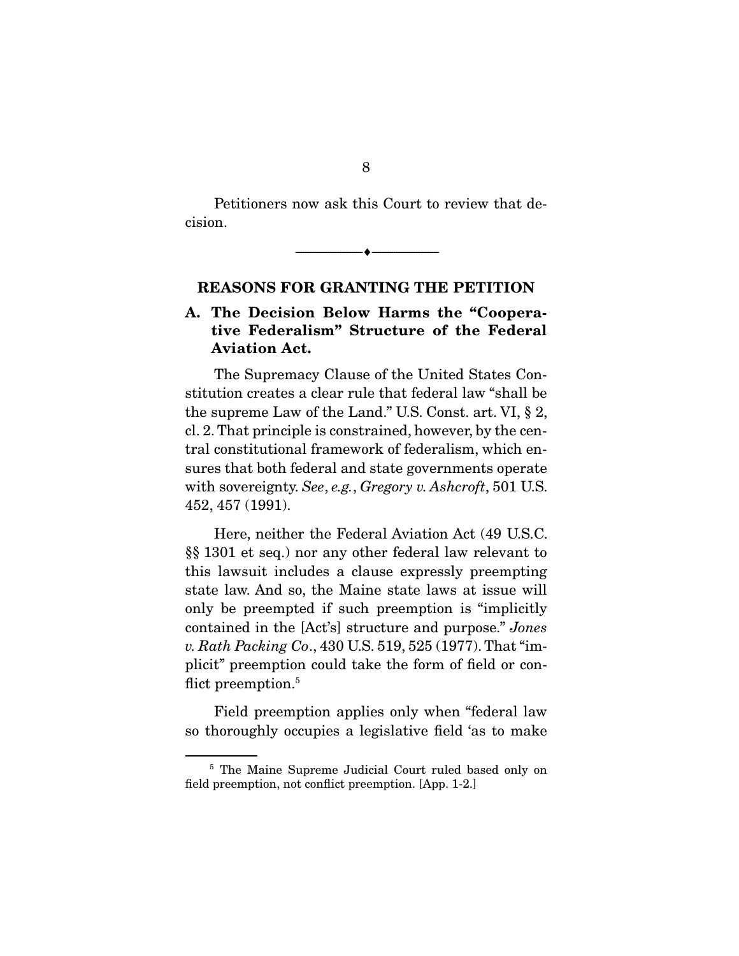Petitioners now ask this Court to review that decision.

--------------------------------- ♦ ---------------------------------

## **REASONS FOR GRANTING THE PETITION**

# **A. The Decision Below Harms the "Cooperative Federalism" Structure of the Federal Aviation Act.**

 The Supremacy Clause of the United States Constitution creates a clear rule that federal law "shall be the supreme Law of the Land." U.S. Const. art. VI, § 2, cl. 2. That principle is constrained, however, by the central constitutional framework of federalism, which ensures that both federal and state governments operate with sovereignty. *See*, *e.g.*, *Gregory v. Ashcroft*, 501 U.S. 452, 457 (1991).

 Here, neither the Federal Aviation Act (49 U.S.C. §§ 1301 et seq.) nor any other federal law relevant to this lawsuit includes a clause expressly preempting state law. And so, the Maine state laws at issue will only be preempted if such preemption is "implicitly contained in the [Act's] structure and purpose." *Jones v. Rath Packing Co*., 430 U.S. 519, 525 (1977). That "implicit" preemption could take the form of field or conflict preemption.<sup>5</sup>

 Field preemption applies only when "federal law so thoroughly occupies a legislative field 'as to make

<sup>5</sup> The Maine Supreme Judicial Court ruled based only on field preemption, not conflict preemption. [App. 1-2.]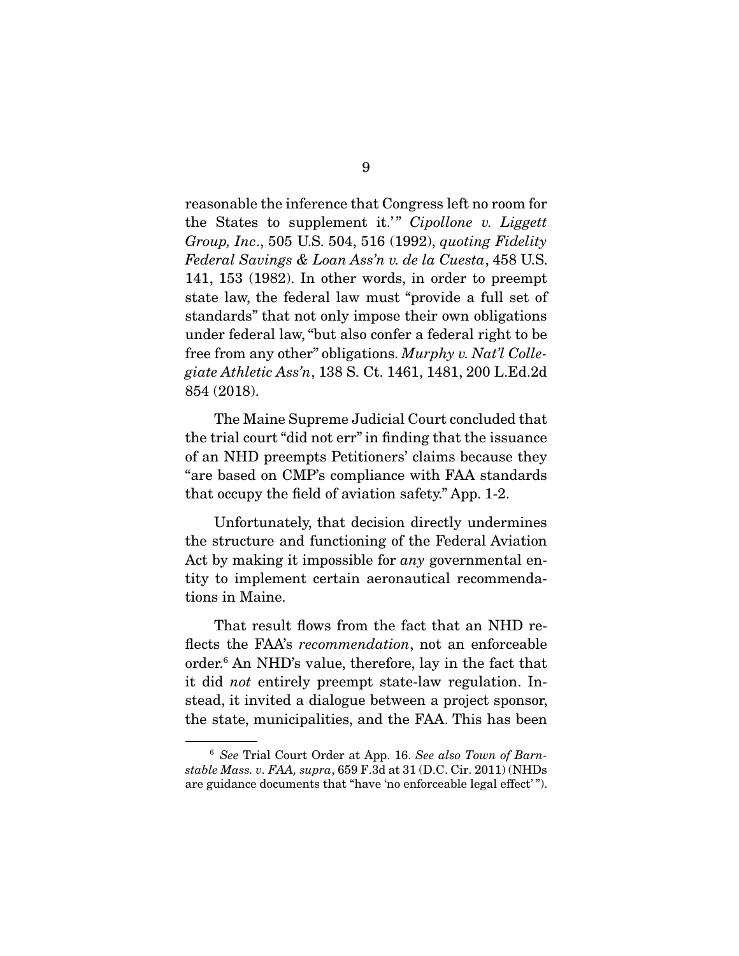reasonable the inference that Congress left no room for the States to supplement it.'" Cipollone v. Liggett *Group, Inc*., 505 U.S. 504, 516 (1992), *quoting Fidelity Federal Savings & Loan Ass'n v. de la Cuesta*, 458 U.S. 141, 153 (1982). In other words, in order to preempt state law, the federal law must "provide a full set of standards" that not only impose their own obligations under federal law, "but also confer a federal right to be free from any other" obligations. *Murphy v. Nat'l Collegiate Athletic Ass'n*, 138 S. Ct. 1461, 1481, 200 L.Ed.2d 854 (2018).

 The Maine Supreme Judicial Court concluded that the trial court "did not err" in finding that the issuance of an NHD preempts Petitioners' claims because they "are based on CMP's compliance with FAA standards that occupy the field of aviation safety." App. 1-2.

 Unfortunately, that decision directly undermines the structure and functioning of the Federal Aviation Act by making it impossible for *any* governmental entity to implement certain aeronautical recommendations in Maine.

 That result flows from the fact that an NHD reflects the FAA's *recommendation*, not an enforceable order.6 An NHD's value, therefore, lay in the fact that it did *not* entirely preempt state-law regulation. Instead, it invited a dialogue between a project sponsor, the state, municipalities, and the FAA. This has been

<sup>6</sup> *See* Trial Court Order at App. 16. *See also Town of Barnstable Mass. v. FAA, supra*, 659 F.3d at 31 (D.C. Cir. 2011) (NHDs are guidance documents that "have 'no enforceable legal effect' ").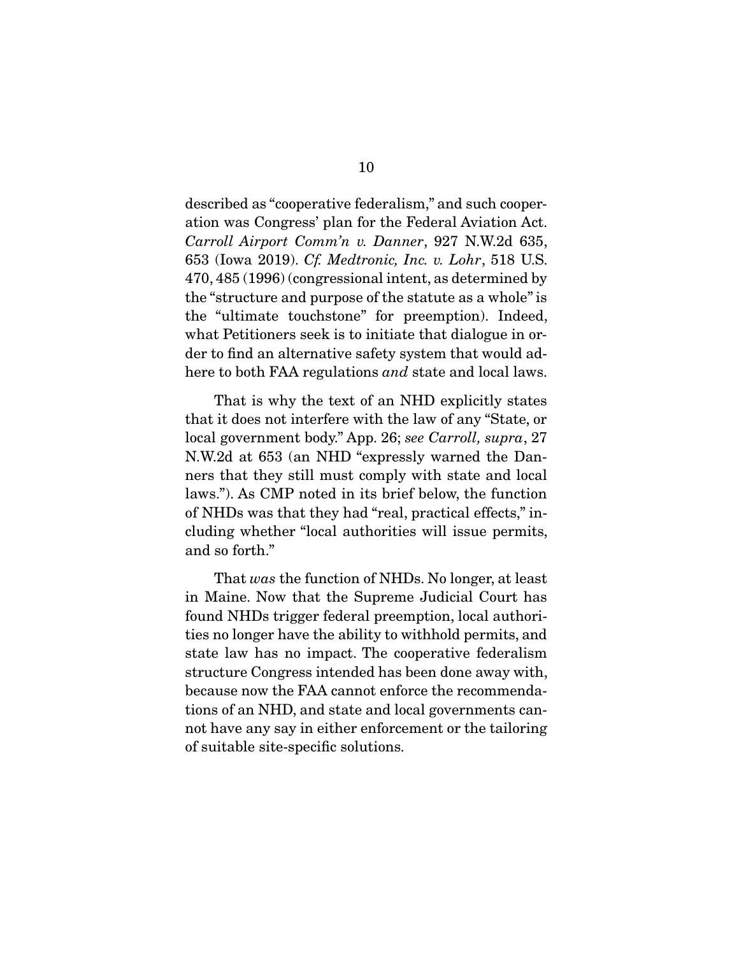described as "cooperative federalism," and such cooperation was Congress' plan for the Federal Aviation Act. *Carroll Airport Comm'n v. Danner*, 927 N.W.2d 635, 653 (Iowa 2019). *Cf. Medtronic, Inc. v. Lohr*, 518 U.S. 470, 485 (1996) (congressional intent, as determined by the "structure and purpose of the statute as a whole" is the "ultimate touchstone" for preemption). Indeed, what Petitioners seek is to initiate that dialogue in order to find an alternative safety system that would adhere to both FAA regulations *and* state and local laws.

 That is why the text of an NHD explicitly states that it does not interfere with the law of any "State, or local government body." App. 26; *see Carroll, supra*, 27 N.W.2d at 653 (an NHD "expressly warned the Danners that they still must comply with state and local laws."). As CMP noted in its brief below, the function of NHDs was that they had "real, practical effects," including whether "local authorities will issue permits, and so forth."

 That *was* the function of NHDs. No longer, at least in Maine. Now that the Supreme Judicial Court has found NHDs trigger federal preemption, local authorities no longer have the ability to withhold permits, and state law has no impact. The cooperative federalism structure Congress intended has been done away with, because now the FAA cannot enforce the recommendations of an NHD, and state and local governments cannot have any say in either enforcement or the tailoring of suitable site-specific solutions.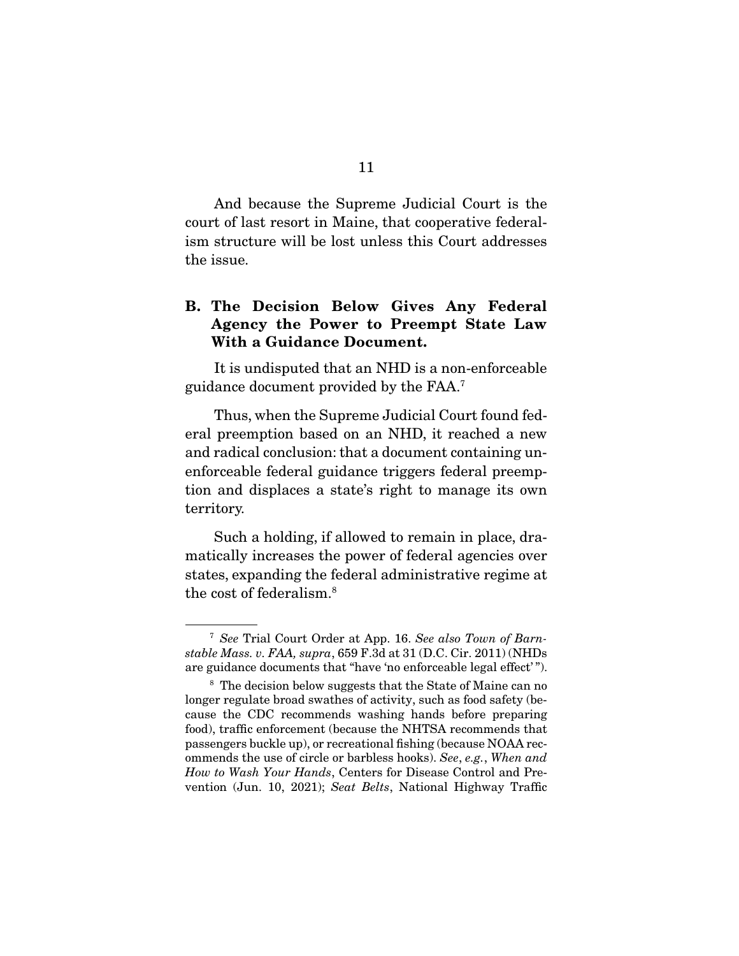And because the Supreme Judicial Court is the court of last resort in Maine, that cooperative federalism structure will be lost unless this Court addresses the issue.

# **B. The Decision Below Gives Any Federal Agency the Power to Preempt State Law With a Guidance Document.**

 It is undisputed that an NHD is a non-enforceable guidance document provided by the FAA.7

 Thus, when the Supreme Judicial Court found federal preemption based on an NHD, it reached a new and radical conclusion: that a document containing unenforceable federal guidance triggers federal preemption and displaces a state's right to manage its own territory.

 Such a holding, if allowed to remain in place, dramatically increases the power of federal agencies over states, expanding the federal administrative regime at the cost of federalism.8

<sup>7</sup> *See* Trial Court Order at App. 16. *See also Town of Barnstable Mass. v. FAA, supra*, 659 F.3d at 31 (D.C. Cir. 2011) (NHDs are guidance documents that "have 'no enforceable legal effect' ").

<sup>&</sup>lt;sup>8</sup> The decision below suggests that the State of Maine can no longer regulate broad swathes of activity, such as food safety (because the CDC recommends washing hands before preparing food), traffic enforcement (because the NHTSA recommends that passengers buckle up), or recreational fishing (because NOAA recommends the use of circle or barbless hooks). *See*, *e.g.*, *When and How to Wash Your Hands*, Centers for Disease Control and Prevention (Jun. 10, 2021); *Seat Belts*, National Highway Traffic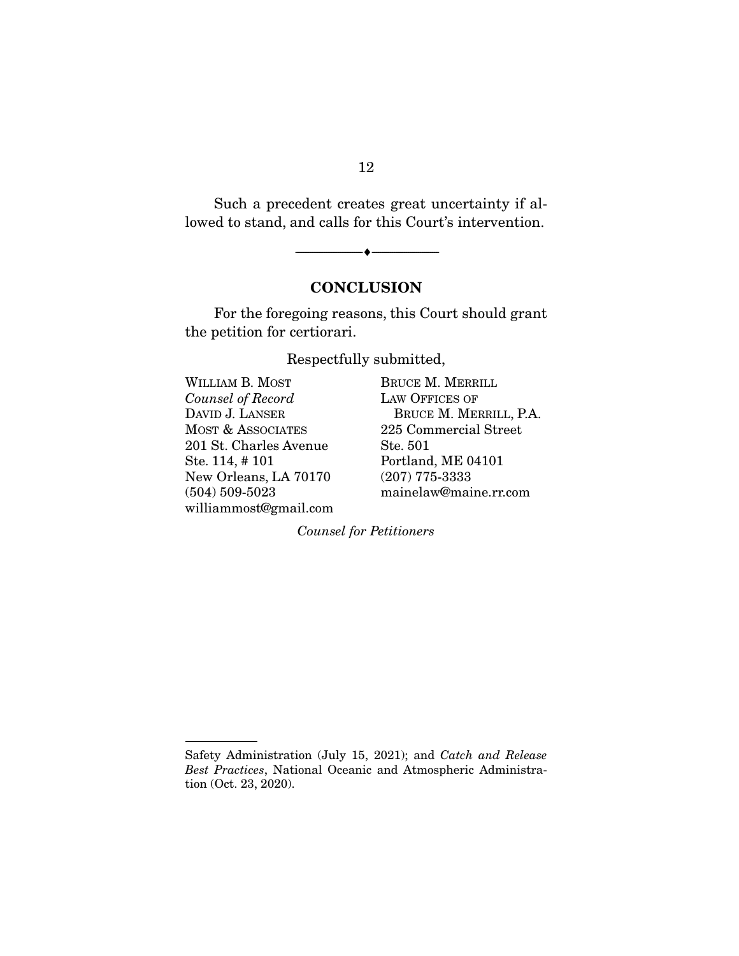Such a precedent creates great uncertainty if allowed to stand, and calls for this Court's intervention.

--------------------------------- ♦ ---------------------------------

# **CONCLUSION**

 For the foregoing reasons, this Court should grant the petition for certiorari.

Respectfully submitted,

| WILLIAM B. MOST        | BRUCE M. MI        |
|------------------------|--------------------|
| Counsel of Record      | <b>LAW OFFICES</b> |
| DAVID J. LANSER        | <b>BRUCE M.</b>    |
| MOST & ASSOCIATES      | 225 Commer         |
| 201 St. Charles Avenue | Ste. 501           |
| Ste. 114, #101         | Portland, ME       |
| New Orleans, LA 70170  | $(207)$ 775-33:    |
| $(504) 509 - 5023$     | mainelaw@m         |
| williammost@gmail.com  |                    |
|                        |                    |

**ERRILL**  $\rm OF$ MERRILL, P.A. cial Street<sup>.</sup> E 04101  $33\,$ naine.rr.com

*Counsel for Petitioners* 

## 12

Safety Administration (July 15, 2021); and *Catch and Release Best Practices*, National Oceanic and Atmospheric Administration (Oct. 23, 2020).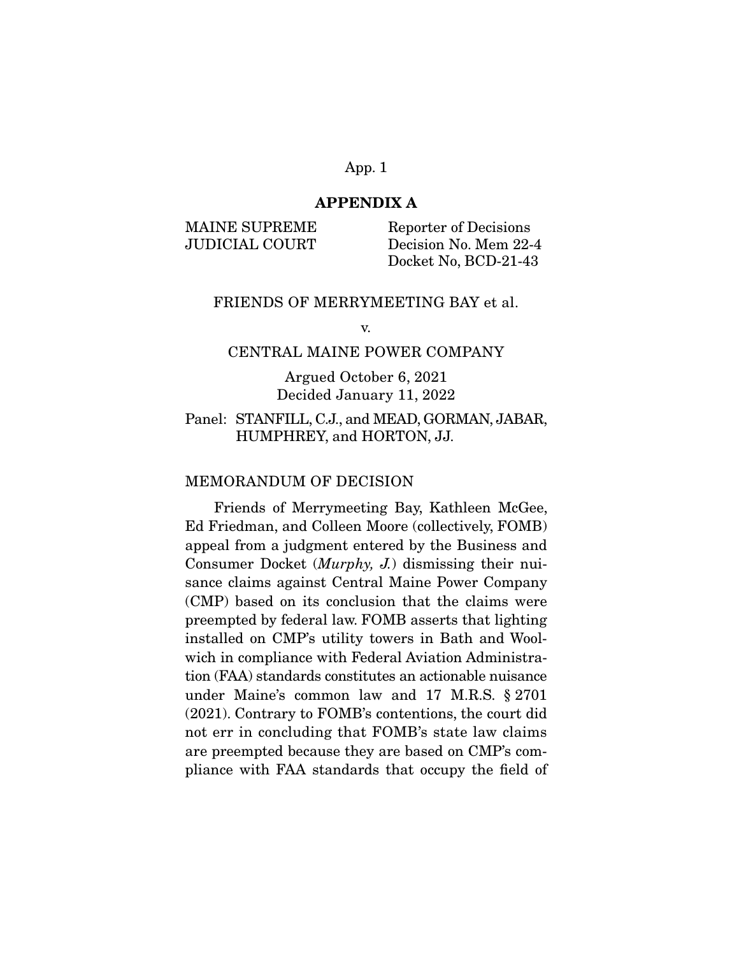### **APPENDIX A**

MAINE SUPREME Reporter of Decisions JUDICIAL COURT Decision No. Mem 22-4 Docket No, BCD-21-43

#### FRIENDS OF MERRYMEETING BAY et al.

v.

### CENTRAL MAINE POWER COMPANY

Argued October 6, 2021 Decided January 11, 2022

### Panel: STANFILL, C.J., and MEAD, GORMAN, JABAR, HUMPHREY, and HORTON, JJ.

#### MEMORANDUM OF DECISION

 Friends of Merrymeeting Bay, Kathleen McGee, Ed Friedman, and Colleen Moore (collectively, FOMB) appeal from a judgment entered by the Business and Consumer Docket (Murphy, J.) dismissing their nuisance claims against Central Maine Power Company (CMP) based on its conclusion that the claims were preempted by federal law. FOMB asserts that lighting installed on CMP's utility towers in Bath and Woolwich in compliance with Federal Aviation Administration (FAA) standards constitutes an actionable nuisance under Maine's common law and 17 M.R.S. § 2701 (2021). Contrary to FOMB's contentions, the court did not err in concluding that FOMB's state law claims are preempted because they are based on CMP's compliance with FAA standards that occupy the field of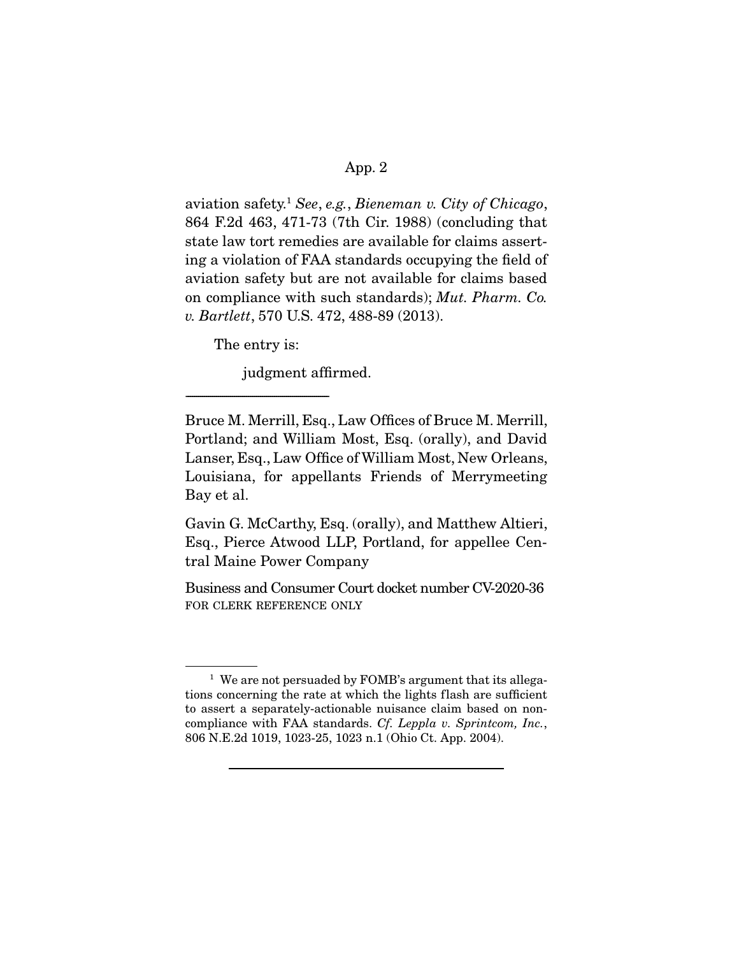aviation safety.<sup>1</sup> See, e.g., Bieneman v. City of Chicago, 864 F.2d 463, 471-73 (7th Cir. 1988) (concluding that state law tort remedies are available for claims asserting a violation of FAA standards occupying the field of aviation safety but are not available for claims based on compliance with such standards); Mut. Pharm. Co. v. Bartlett, 570 U.S. 472, 488-89 (2013).

The entry is:

-----------------------------------------------------------------------

judgment affirmed.

Bruce M. Merrill, Esq., Law Offices of Bruce M. Merrill, Portland; and William Most, Esq. (orally), and David Lanser, Esq., Law Office of William Most, New Orleans, Louisiana, for appellants Friends of Merrymeeting Bay et al.

Gavin G. McCarthy, Esq. (orally), and Matthew Altieri, Esq., Pierce Atwood LLP, Portland, for appellee Central Maine Power Company

Business and Consumer Court docket number CV-2020-36 FOR CLERK REFERENCE ONLY

<sup>&</sup>lt;sup>1</sup> We are not persuaded by FOMB's argument that its allegations concerning the rate at which the lights flash are sufficient to assert a separately-actionable nuisance claim based on noncompliance with FAA standards. Cf. Leppla v. Sprintcom, Inc., 806 N.E.2d 1019, 1023-25, 1023 n.1 (Ohio Ct. App. 2004).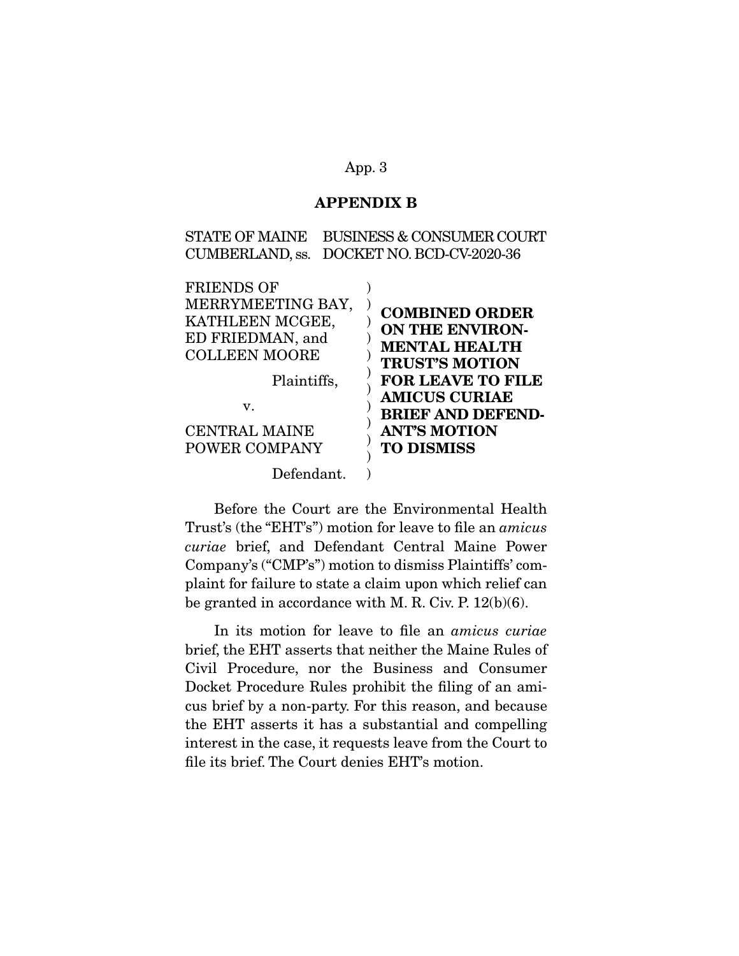### **APPENDIX B**

STATE OF MAINE BUSINESS & CONSUMER COURT CUMBERLAND, ss. DOCKET NO. BCD-CV-2020-36

| <b>FRIENDS OF</b>    | <b>COMBINED ORDER</b>    |
|----------------------|--------------------------|
| MERRYMEETING BAY,    | <b>ON THE ENVIRON-</b>   |
| KATHLEEN MCGEE,      | <b>MENTAL HEALTH</b>     |
| ED FRIEDMAN, and     | <b>TRUST'S MOTION</b>    |
| <b>COLLEEN MOORE</b> | <b>FOR LEAVE TO FILE</b> |
| Plaintiffs,          | <b>AMICUS CURIAE</b>     |
| V.                   | <b>BRIEF AND DEFEND-</b> |
| <b>CENTRAL MAINE</b> | <b>ANT'S MOTION</b>      |
| POWER COMPANY        | <b>TO DISMISS</b>        |
| Defendant.           |                          |

 Before the Court are the Environmental Health Trust's (the "EHT's") motion for leave to file an amicus curiae brief, and Defendant Central Maine Power Company's ("CMP's") motion to dismiss Plaintiffs' complaint for failure to state a claim upon which relief can be granted in accordance with M. R. Civ. P. 12(b)(6).

 In its motion for leave to file an amicus curiae brief, the EHT asserts that neither the Maine Rules of Civil Procedure, nor the Business and Consumer Docket Procedure Rules prohibit the filing of an amicus brief by a non-party. For this reason, and because the EHT asserts it has a substantial and compelling interest in the case, it requests leave from the Court to file its brief. The Court denies EHT's motion.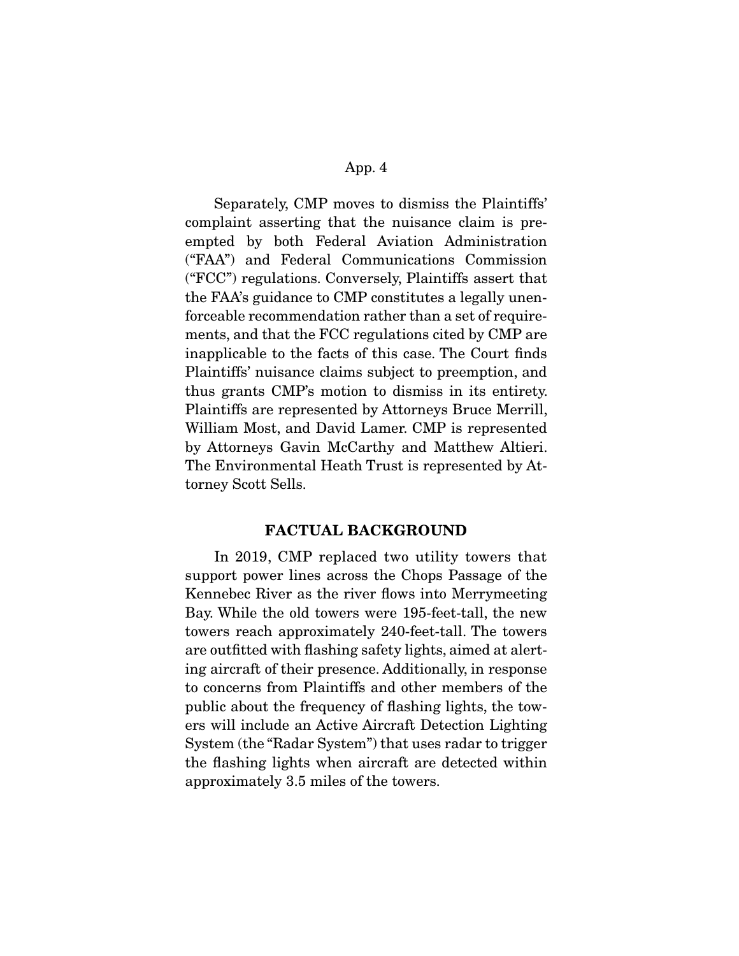Separately, CMP moves to dismiss the Plaintiffs' complaint asserting that the nuisance claim is preempted by both Federal Aviation Administration ("FAA") and Federal Communications Commission ("FCC") regulations. Conversely, Plaintiffs assert that the FAA's guidance to CMP constitutes a legally unenforceable recommendation rather than a set of requirements, and that the FCC regulations cited by CMP are inapplicable to the facts of this case. The Court finds Plaintiffs' nuisance claims subject to preemption, and thus grants CMP's motion to dismiss in its entirety. Plaintiffs are represented by Attorneys Bruce Merrill, William Most, and David Lamer. CMP is represented by Attorneys Gavin McCarthy and Matthew Altieri. The Environmental Heath Trust is represented by Attorney Scott Sells.

### **FACTUAL BACKGROUND**

 In 2019, CMP replaced two utility towers that support power lines across the Chops Passage of the Kennebec River as the river flows into Merrymeeting Bay. While the old towers were 195-feet-tall, the new towers reach approximately 240-feet-tall. The towers are outfitted with flashing safety lights, aimed at alerting aircraft of their presence. Additionally, in response to concerns from Plaintiffs and other members of the public about the frequency of flashing lights, the towers will include an Active Aircraft Detection Lighting System (the "Radar System") that uses radar to trigger the flashing lights when aircraft are detected within approximately 3.5 miles of the towers.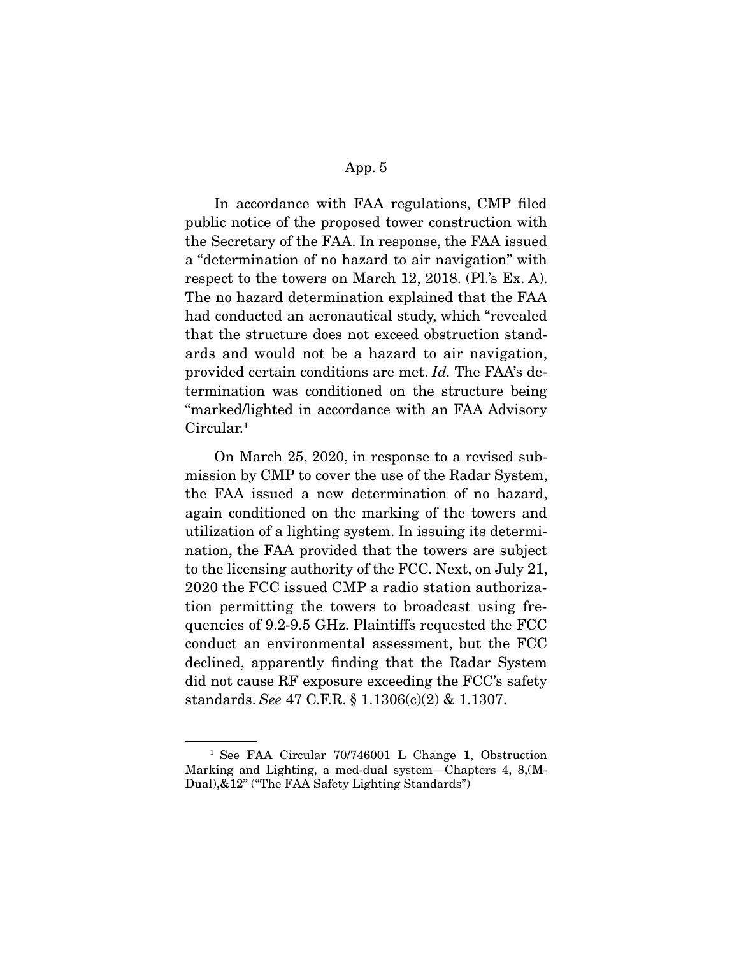In accordance with FAA regulations, CMP filed public notice of the proposed tower construction with the Secretary of the FAA. In response, the FAA issued a "determination of no hazard to air navigation" with respect to the towers on March 12, 2018. (Pl.'s Ex. A). The no hazard determination explained that the FAA had conducted an aeronautical study, which "revealed that the structure does not exceed obstruction standards and would not be a hazard to air navigation, provided certain conditions are met. Id. The FAA's determination was conditioned on the structure being "marked/lighted in accordance with an FAA Advisory Circular.<sup>1</sup>

 On March 25, 2020, in response to a revised submission by CMP to cover the use of the Radar System, the FAA issued a new determination of no hazard, again conditioned on the marking of the towers and utilization of a lighting system. In issuing its determination, the FAA provided that the towers are subject to the licensing authority of the FCC. Next, on July 21, 2020 the FCC issued CMP a radio station authorization permitting the towers to broadcast using frequencies of 9.2-9.5 GHz. Plaintiffs requested the FCC conduct an environmental assessment, but the FCC declined, apparently finding that the Radar System did not cause RF exposure exceeding the FCC's safety standards. See 47 C.F.R. § 1.1306(c)(2) & 1.1307.

<sup>&</sup>lt;sup>1</sup> See FAA Circular 70/746001 L Change 1, Obstruction Marking and Lighting, a med-dual system—Chapters 4, 8,(M-Dual),&12" ("The FAA Safety Lighting Standards")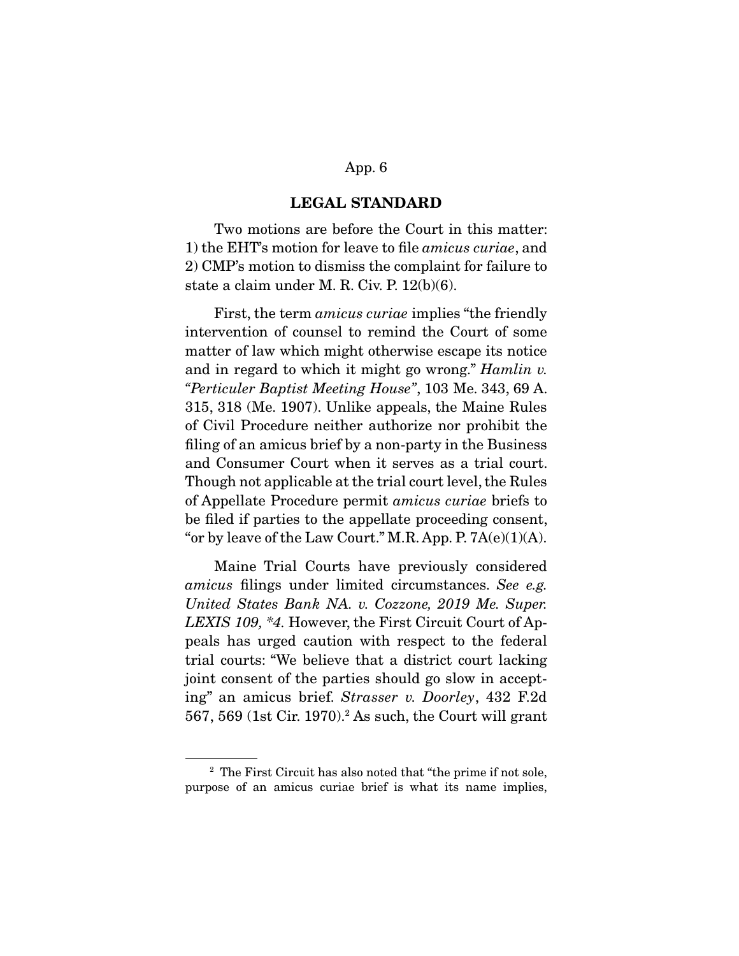### **LEGAL STANDARD**

 Two motions are before the Court in this matter: 1) the EHT's motion for leave to file amicus curiae, and 2) CMP's motion to dismiss the complaint for failure to state a claim under M. R. Civ. P. 12(b)(6).

First, the term *amicus curiae* implies "the friendly" intervention of counsel to remind the Court of some matter of law which might otherwise escape its notice and in regard to which it might go wrong." Hamlin v. "Perticuler Baptist Meeting House", 103 Me. 343, 69 A. 315, 318 (Me. 1907). Unlike appeals, the Maine Rules of Civil Procedure neither authorize nor prohibit the filing of an amicus brief by a non-party in the Business and Consumer Court when it serves as a trial court. Though not applicable at the trial court level, the Rules of Appellate Procedure permit amicus curiae briefs to be filed if parties to the appellate proceeding consent, "or by leave of the Law Court." M.R. App. P.  $7A(e)(1)(A)$ .

 Maine Trial Courts have previously considered amicus filings under limited circumstances. See e.g. United States Bank NA. v. Cozzone, 2019 Me. Super. LEXIS 109, \*4. However, the First Circuit Court of Appeals has urged caution with respect to the federal trial courts: "We believe that a district court lacking joint consent of the parties should go slow in accepting" an amicus brief. Strasser v. Doorley, 432 F.2d 567, 569 (1st Cir. 1970).2 As such, the Court will grant

<sup>2</sup> The First Circuit has also noted that "the prime if not sole, purpose of an amicus curiae brief is what its name implies,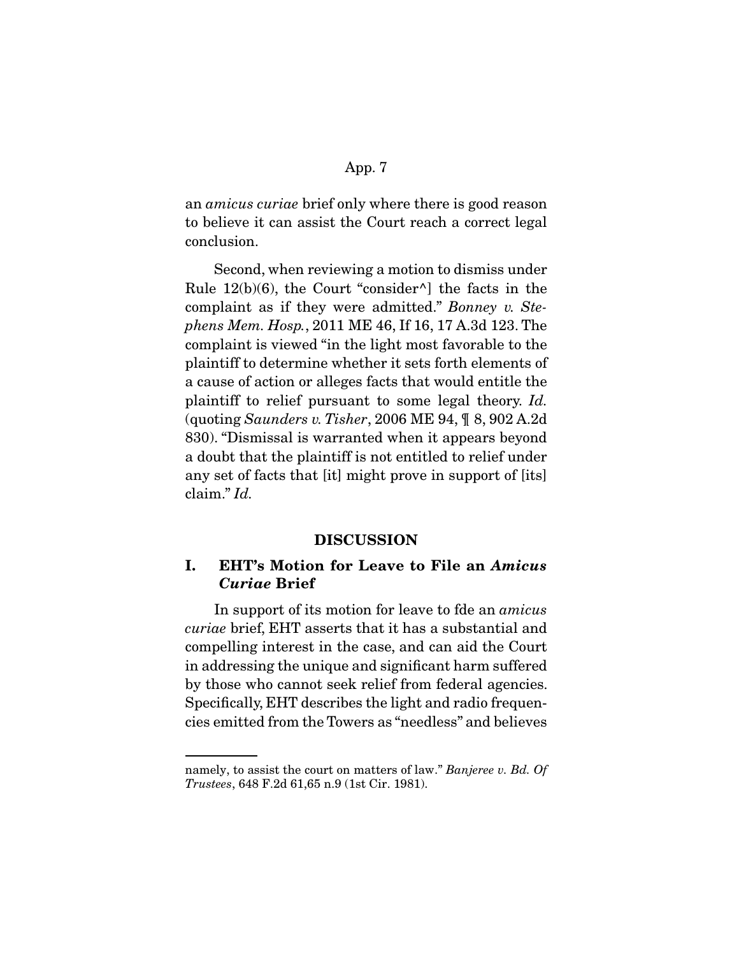an amicus curiae brief only where there is good reason to believe it can assist the Court reach a correct legal conclusion.

 Second, when reviewing a motion to dismiss under Rule  $12(b)(6)$ , the Court "consider<sup> $\wedge$ </sup>] the facts in the complaint as if they were admitted." Bonney v. Stephens Mem. Hosp., 2011 ME 46, If 16, 17 A.3d 123. The complaint is viewed "in the light most favorable to the plaintiff to determine whether it sets forth elements of a cause of action or alleges facts that would entitle the plaintiff to relief pursuant to some legal theory. Id. (quoting Saunders v. Tisher, 2006 ME 94, ¶ 8, 902 A.2d 830). "Dismissal is warranted when it appears beyond a doubt that the plaintiff is not entitled to relief under any set of facts that [it] might prove in support of [its] claim." Id.

### **DISCUSSION**

# **I. EHT's Motion for Leave to File an** *Amicus Curiae* **Brief**

 In support of its motion for leave to fde an amicus curiae brief, EHT asserts that it has a substantial and compelling interest in the case, and can aid the Court in addressing the unique and significant harm suffered by those who cannot seek relief from federal agencies. Specifically, EHT describes the light and radio frequencies emitted from the Towers as "needless" and believes

namely, to assist the court on matters of law." Banjeree v. Bd. Of Trustees, 648 F.2d 61,65 n.9 (1st Cir. 1981).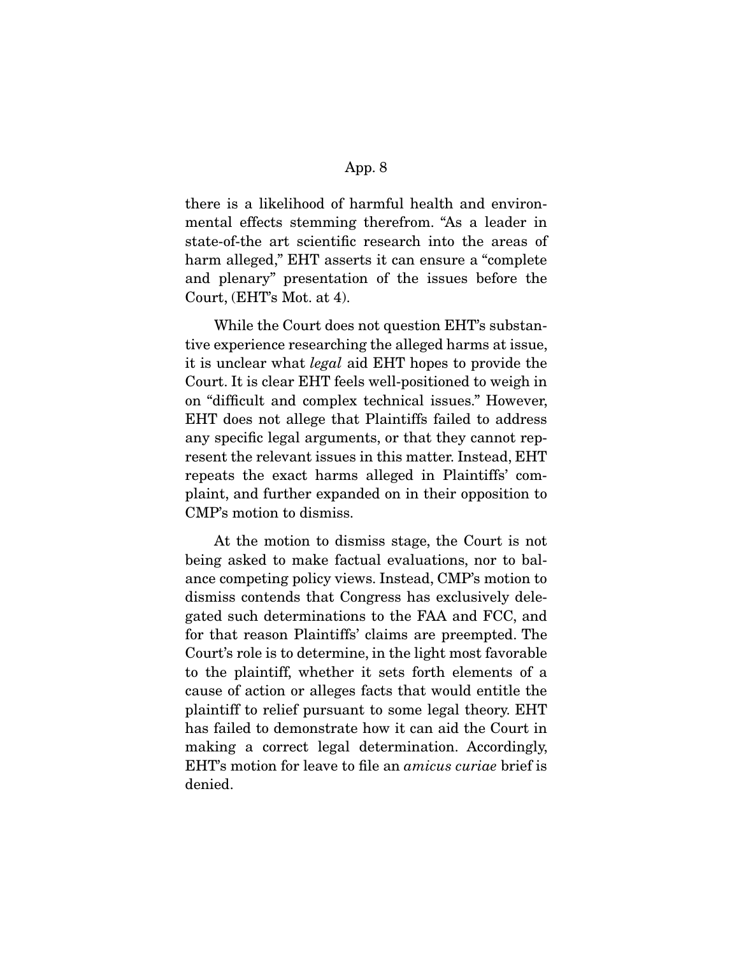there is a likelihood of harmful health and environmental effects stemming therefrom. "As a leader in state-of-the art scientific research into the areas of harm alleged," EHT asserts it can ensure a "complete and plenary" presentation of the issues before the Court, (EHT's Mot. at 4).

 While the Court does not question EHT's substantive experience researching the alleged harms at issue, it is unclear what legal aid EHT hopes to provide the Court. It is clear EHT feels well-positioned to weigh in on "difficult and complex technical issues." However, EHT does not allege that Plaintiffs failed to address any specific legal arguments, or that they cannot represent the relevant issues in this matter. Instead, EHT repeats the exact harms alleged in Plaintiffs' complaint, and further expanded on in their opposition to CMP's motion to dismiss.

 At the motion to dismiss stage, the Court is not being asked to make factual evaluations, nor to balance competing policy views. Instead, CMP's motion to dismiss contends that Congress has exclusively delegated such determinations to the FAA and FCC, and for that reason Plaintiffs' claims are preempted. The Court's role is to determine, in the light most favorable to the plaintiff, whether it sets forth elements of a cause of action or alleges facts that would entitle the plaintiff to relief pursuant to some legal theory. EHT has failed to demonstrate how it can aid the Court in making a correct legal determination. Accordingly, EHT's motion for leave to file an amicus curiae brief is denied.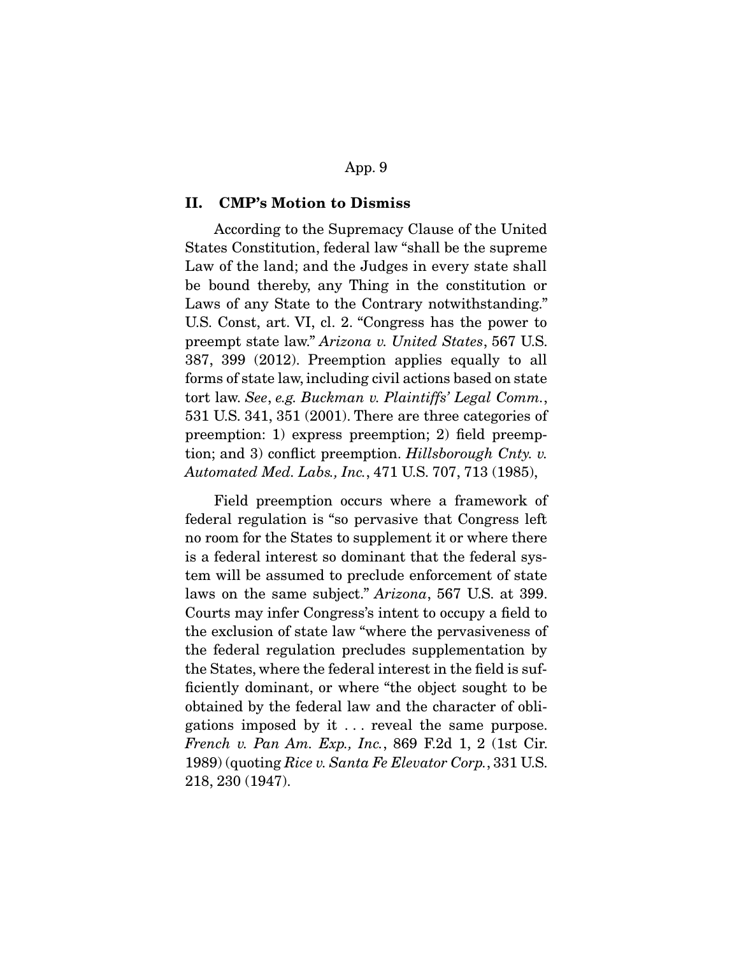### **II. CMP's Motion to Dismiss**

 According to the Supremacy Clause of the United States Constitution, federal law "shall be the supreme Law of the land; and the Judges in every state shall be bound thereby, any Thing in the constitution or Laws of any State to the Contrary notwithstanding." U.S. Const, art. VI, cl. 2. "Congress has the power to preempt state law." Arizona v. United States, 567 U.S. 387, 399 (2012). Preemption applies equally to all forms of state law, including civil actions based on state tort law. See, e.g. Buckman v. Plaintiffs' Legal Comm., 531 U.S. 341, 351 (2001). There are three categories of preemption: 1) express preemption; 2) field preemption; and 3) conflict preemption. Hillsborough Cnty. v. Automated Med. Labs., Inc., 471 U.S. 707, 713 (1985),

 Field preemption occurs where a framework of federal regulation is "so pervasive that Congress left no room for the States to supplement it or where there is a federal interest so dominant that the federal system will be assumed to preclude enforcement of state laws on the same subject." Arizona, 567 U.S. at 399. Courts may infer Congress's intent to occupy a field to the exclusion of state law "where the pervasiveness of the federal regulation precludes supplementation by the States, where the federal interest in the field is sufficiently dominant, or where "the object sought to be obtained by the federal law and the character of obligations imposed by it . . . reveal the same purpose. French v. Pan Am. Exp., Inc., 869 F.2d 1, 2 (1st Cir. 1989) (quoting Rice v. Santa Fe Elevator Corp., 331 U.S. 218, 230 (1947).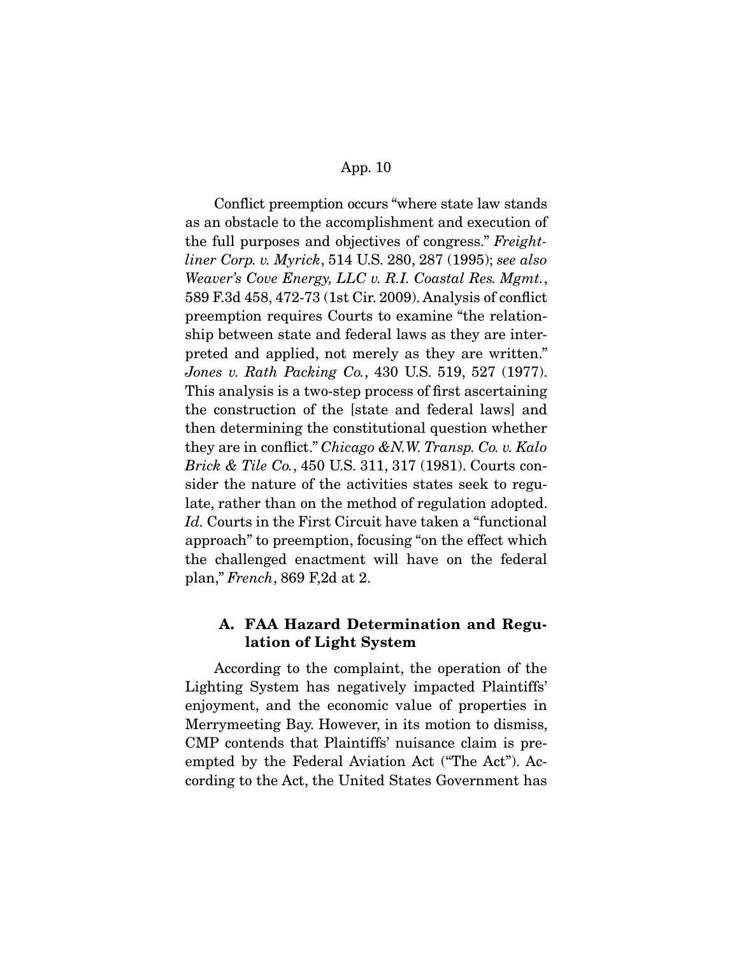Conflict preemption occurs "where state law stands as an obstacle to the accomplishment and execution of the full purposes and objectives of congress." Freightliner Corp. v. Myrick, 514 U.S. 280, 287 (1995); see also Weaver's Cove Energy, LLC v. R.I. Coastal Res. Mgmt., 589 F.3d 458, 472-73 (1st Cir. 2009). Analysis of conflict preemption requires Courts to examine "the relationship between state and federal laws as they are interpreted and applied, not merely as they are written." Jones v. Rath Packing Co., 430 U.S. 519, 527 (1977). This analysis is a two-step process of first ascertaining the construction of the [state and federal laws] and then determining the constitutional question whether they are in conflict." Chicago &N.W. Transp. Co. v. Kalo Brick & Tile Co., 450 U.S. 311, 317 (1981). Courts consider the nature of the activities states seek to regulate, rather than on the method of regulation adopted. Id. Courts in the First Circuit have taken a "functional" approach" to preemption, focusing "on the effect which the challenged enactment will have on the federal plan," French, 869 F,2d at 2.

## **A. FAA Hazard Determination and Regulation of Light System**

 According to the complaint, the operation of the Lighting System has negatively impacted Plaintiffs' enjoyment, and the economic value of properties in Merrymeeting Bay. However, in its motion to dismiss, CMP contends that Plaintiffs' nuisance claim is preempted by the Federal Aviation Act ("The Act"). According to the Act, the United States Government has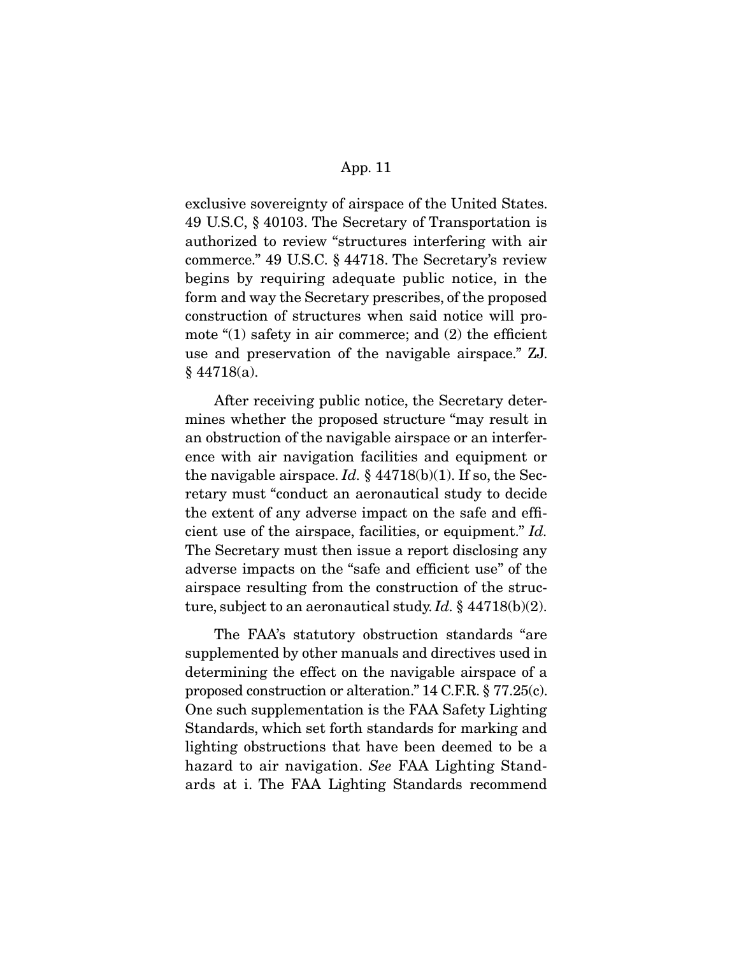exclusive sovereignty of airspace of the United States. 49 U.S.C, § 40103. The Secretary of Transportation is authorized to review "structures interfering with air commerce." 49 U.S.C. § 44718. The Secretary's review begins by requiring adequate public notice, in the form and way the Secretary prescribes, of the proposed construction of structures when said notice will promote " $(1)$  safety in air commerce; and  $(2)$  the efficient use and preservation of the navigable airspace." ZJ.  $§$  44718(a).

 After receiving public notice, the Secretary determines whether the proposed structure "may result in an obstruction of the navigable airspace or an interference with air navigation facilities and equipment or the navigable airspace. Id.  $\S$  44718(b)(1). If so, the Secretary must "conduct an aeronautical study to decide the extent of any adverse impact on the safe and efficient use of the airspace, facilities, or equipment." Id. The Secretary must then issue a report disclosing any adverse impacts on the "safe and efficient use" of the airspace resulting from the construction of the structure, subject to an aeronautical study. Id.  $\S$  44718(b)(2).

 The FAA's statutory obstruction standards "are supplemented by other manuals and directives used in determining the effect on the navigable airspace of a proposed construction or alteration." 14 C.F.R. § 77.25(c). One such supplementation is the FAA Safety Lighting Standards, which set forth standards for marking and lighting obstructions that have been deemed to be a hazard to air navigation. See FAA Lighting Standards at i. The FAA Lighting Standards recommend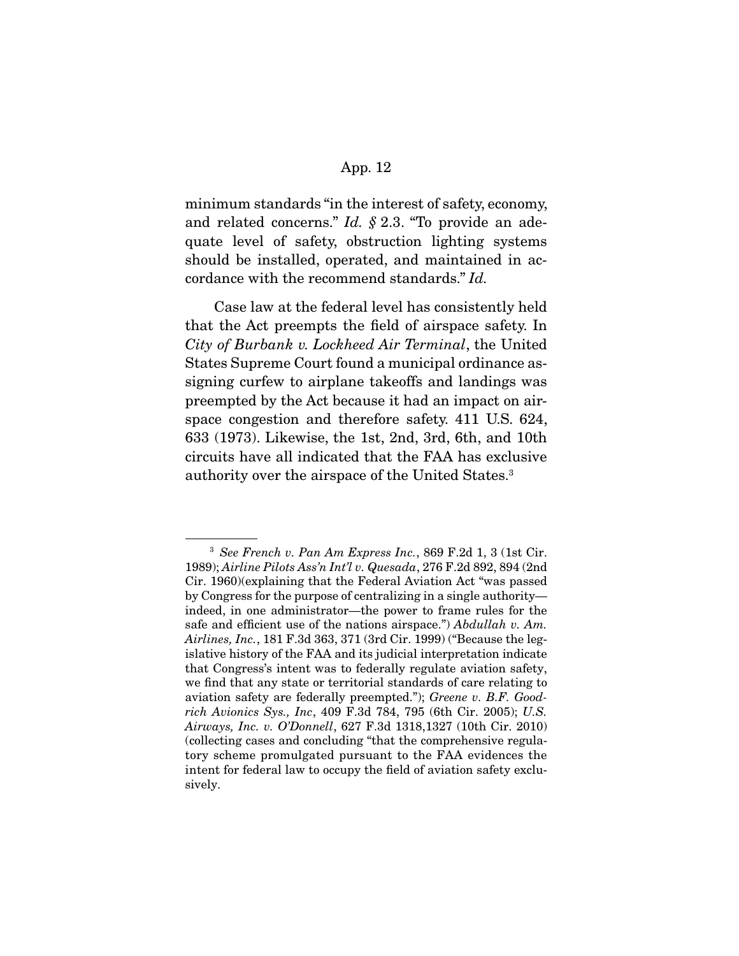minimum standards "in the interest of safety, economy, and related concerns."  $Id. \S$  2.3. "To provide an adequate level of safety, obstruction lighting systems should be installed, operated, and maintained in accordance with the recommend standards." Id.

 Case law at the federal level has consistently held that the Act preempts the field of airspace safety. In City of Burbank v. Lockheed Air Terminal, the United States Supreme Court found a municipal ordinance assigning curfew to airplane takeoffs and landings was preempted by the Act because it had an impact on airspace congestion and therefore safety. 411 U.S. 624, 633 (1973). Likewise, the 1st, 2nd, 3rd, 6th, and 10th circuits have all indicated that the FAA has exclusive authority over the airspace of the United States.3

 $3$  See French v. Pan Am Express Inc., 869 F.2d 1, 3 (1st Cir. 1989); Airline Pilots Ass'n Int'l v. Quesada, 276 F.2d 892, 894 (2nd Cir. 1960)(explaining that the Federal Aviation Act "was passed by Congress for the purpose of centralizing in a single authority indeed, in one administrator—the power to frame rules for the safe and efficient use of the nations airspace.") Abdullah v. Am. Airlines, Inc., 181 F.3d 363, 371 (3rd Cir. 1999) ("Because the legislative history of the FAA and its judicial interpretation indicate that Congress's intent was to federally regulate aviation safety, we find that any state or territorial standards of care relating to aviation safety are federally preempted."); Greene v. B.F. Goodrich Avionics Sys., Inc, 409 F.3d 784, 795 (6th Cir. 2005); U.S. Airways, Inc. v. O'Donnell, 627 F.3d 1318,1327 (10th Cir. 2010) (collecting cases and concluding "that the comprehensive regulatory scheme promulgated pursuant to the FAA evidences the intent for federal law to occupy the field of aviation safety exclusively.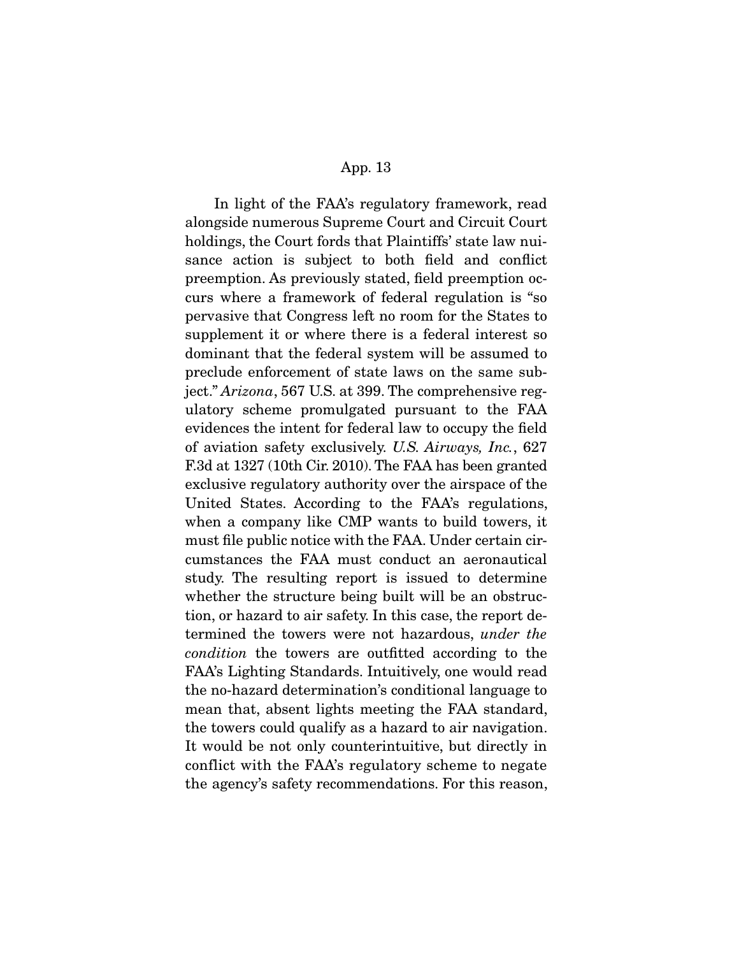In light of the FAA's regulatory framework, read alongside numerous Supreme Court and Circuit Court holdings, the Court fords that Plaintiffs' state law nuisance action is subject to both field and conflict preemption. As previously stated, field preemption occurs where a framework of federal regulation is "so pervasive that Congress left no room for the States to supplement it or where there is a federal interest so dominant that the federal system will be assumed to preclude enforcement of state laws on the same subject." Arizona, 567 U.S. at 399. The comprehensive regulatory scheme promulgated pursuant to the FAA evidences the intent for federal law to occupy the field of aviation safety exclusively. U.S. Airways, Inc., 627 F.3d at 1327 (10th Cir. 2010). The FAA has been granted exclusive regulatory authority over the airspace of the United States. According to the FAA's regulations, when a company like CMP wants to build towers, it must file public notice with the FAA. Under certain circumstances the FAA must conduct an aeronautical study. The resulting report is issued to determine whether the structure being built will be an obstruction, or hazard to air safety. In this case, the report determined the towers were not hazardous, under the condition the towers are outfitted according to the FAA's Lighting Standards. Intuitively, one would read the no-hazard determination's conditional language to mean that, absent lights meeting the FAA standard, the towers could qualify as a hazard to air navigation. It would be not only counterintuitive, but directly in conflict with the FAA's regulatory scheme to negate the agency's safety recommendations. For this reason,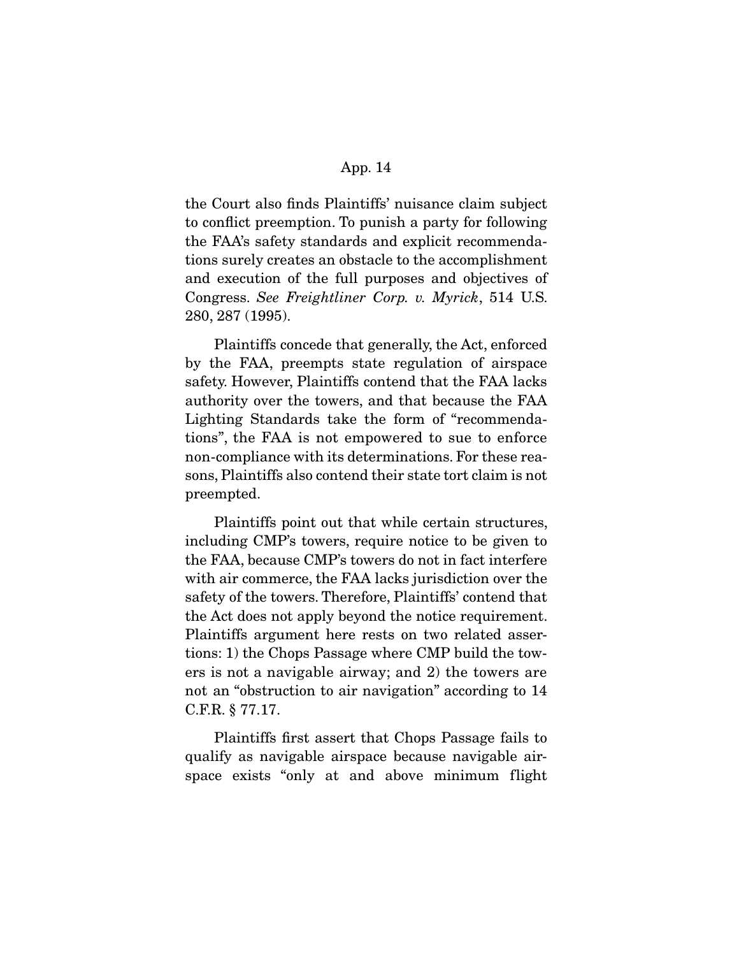the Court also finds Plaintiffs' nuisance claim subject to conflict preemption. To punish a party for following the FAA's safety standards and explicit recommendations surely creates an obstacle to the accomplishment and execution of the full purposes and objectives of Congress. See Freightliner Corp. v. Myrick, 514 U.S. 280, 287 (1995).

 Plaintiffs concede that generally, the Act, enforced by the FAA, preempts state regulation of airspace safety. However, Plaintiffs contend that the FAA lacks authority over the towers, and that because the FAA Lighting Standards take the form of "recommendations", the FAA is not empowered to sue to enforce non-compliance with its determinations. For these reasons, Plaintiffs also contend their state tort claim is not preempted.

 Plaintiffs point out that while certain structures, including CMP's towers, require notice to be given to the FAA, because CMP's towers do not in fact interfere with air commerce, the FAA lacks jurisdiction over the safety of the towers. Therefore, Plaintiffs' contend that the Act does not apply beyond the notice requirement. Plaintiffs argument here rests on two related assertions: 1) the Chops Passage where CMP build the towers is not a navigable airway; and 2) the towers are not an "obstruction to air navigation" according to 14 C.F.R. § 77.17.

 Plaintiffs first assert that Chops Passage fails to qualify as navigable airspace because navigable airspace exists "only at and above minimum flight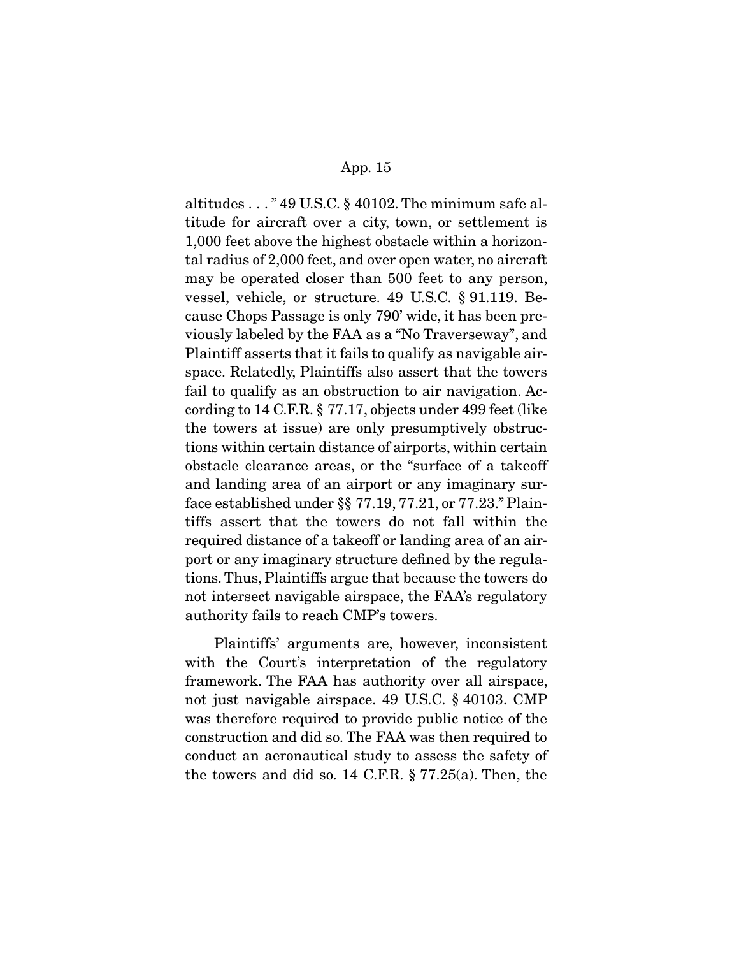altitudes . . . " 49 U.S.C. § 40102. The minimum safe altitude for aircraft over a city, town, or settlement is 1,000 feet above the highest obstacle within a horizontal radius of 2,000 feet, and over open water, no aircraft may be operated closer than 500 feet to any person, vessel, vehicle, or structure. 49 U.S.C. § 91.119. Because Chops Passage is only 790' wide, it has been previously labeled by the FAA as a "No Traverseway", and Plaintiff asserts that it fails to qualify as navigable airspace. Relatedly, Plaintiffs also assert that the towers fail to qualify as an obstruction to air navigation. According to 14 C.F.R. § 77.17, objects under 499 feet (like the towers at issue) are only presumptively obstructions within certain distance of airports, within certain obstacle clearance areas, or the "surface of a takeoff and landing area of an airport or any imaginary surface established under §§ 77.19, 77.21, or 77.23." Plaintiffs assert that the towers do not fall within the required distance of a takeoff or landing area of an airport or any imaginary structure defined by the regulations. Thus, Plaintiffs argue that because the towers do not intersect navigable airspace, the FAA's regulatory authority fails to reach CMP's towers.

 Plaintiffs' arguments are, however, inconsistent with the Court's interpretation of the regulatory framework. The FAA has authority over all airspace, not just navigable airspace. 49 U.S.C. § 40103. CMP was therefore required to provide public notice of the construction and did so. The FAA was then required to conduct an aeronautical study to assess the safety of the towers and did so. 14 C.F.R. § 77.25(a). Then, the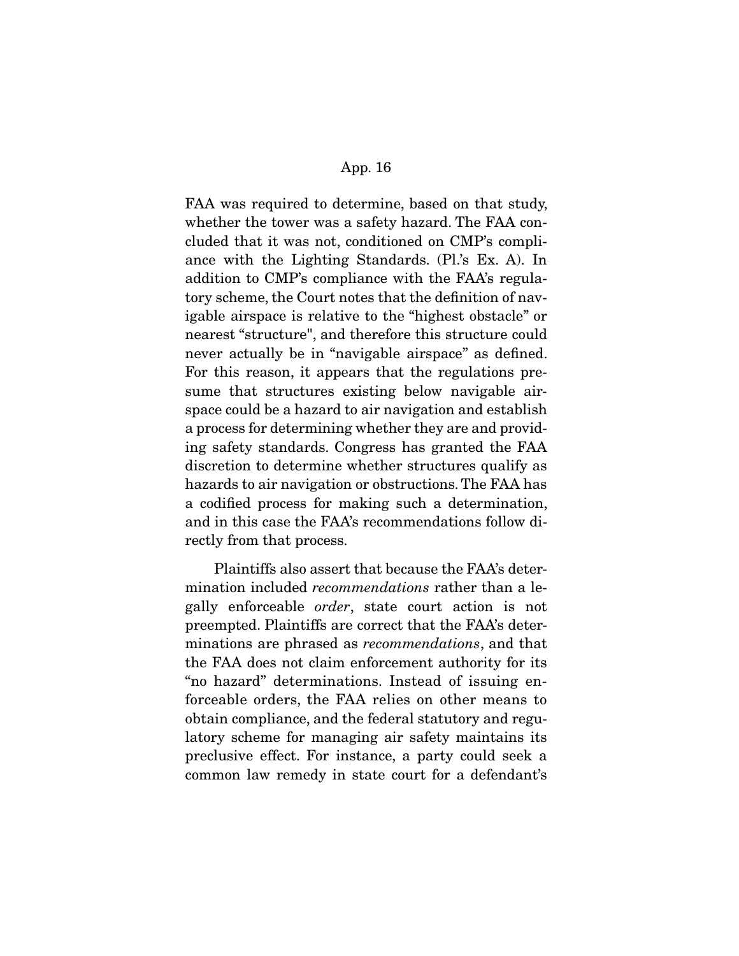FAA was required to determine, based on that study, whether the tower was a safety hazard. The FAA concluded that it was not, conditioned on CMP's compliance with the Lighting Standards. (Pl.'s Ex. A). In addition to CMP's compliance with the FAA's regulatory scheme, the Court notes that the definition of navigable airspace is relative to the "highest obstacle" or nearest "structure", and therefore this structure could never actually be in "navigable airspace" as defined. For this reason, it appears that the regulations presume that structures existing below navigable airspace could be a hazard to air navigation and establish a process for determining whether they are and providing safety standards. Congress has granted the FAA discretion to determine whether structures qualify as hazards to air navigation or obstructions. The FAA has a codified process for making such a determination, and in this case the FAA's recommendations follow directly from that process.

 Plaintiffs also assert that because the FAA's determination included recommendations rather than a legally enforceable order, state court action is not preempted. Plaintiffs are correct that the FAA's determinations are phrased as recommendations, and that the FAA does not claim enforcement authority for its "no hazard" determinations. Instead of issuing enforceable orders, the FAA relies on other means to obtain compliance, and the federal statutory and regulatory scheme for managing air safety maintains its preclusive effect. For instance, a party could seek a common law remedy in state court for a defendant's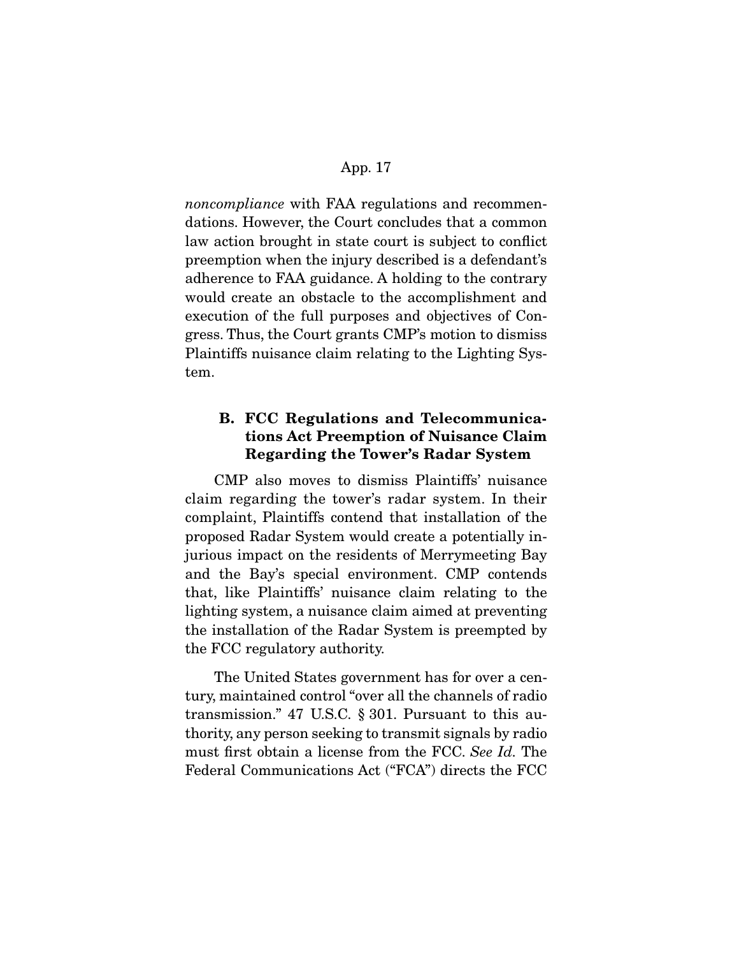noncompliance with FAA regulations and recommendations. However, the Court concludes that a common law action brought in state court is subject to conflict preemption when the injury described is a defendant's adherence to FAA guidance. A holding to the contrary would create an obstacle to the accomplishment and execution of the full purposes and objectives of Congress. Thus, the Court grants CMP's motion to dismiss Plaintiffs nuisance claim relating to the Lighting System.

# **B. FCC Regulations and Telecommunications Act Preemption of Nuisance Claim Regarding the Tower's Radar System**

 CMP also moves to dismiss Plaintiffs' nuisance claim regarding the tower's radar system. In their complaint, Plaintiffs contend that installation of the proposed Radar System would create a potentially injurious impact on the residents of Merrymeeting Bay and the Bay's special environment. CMP contends that, like Plaintiffs' nuisance claim relating to the lighting system, a nuisance claim aimed at preventing the installation of the Radar System is preempted by the FCC regulatory authority.

 The United States government has for over a century, maintained control "over all the channels of radio transmission." 47 U.S.C. § 301. Pursuant to this authority, any person seeking to transmit signals by radio must first obtain a license from the FCC. See Id. The Federal Communications Act ("FCA") directs the FCC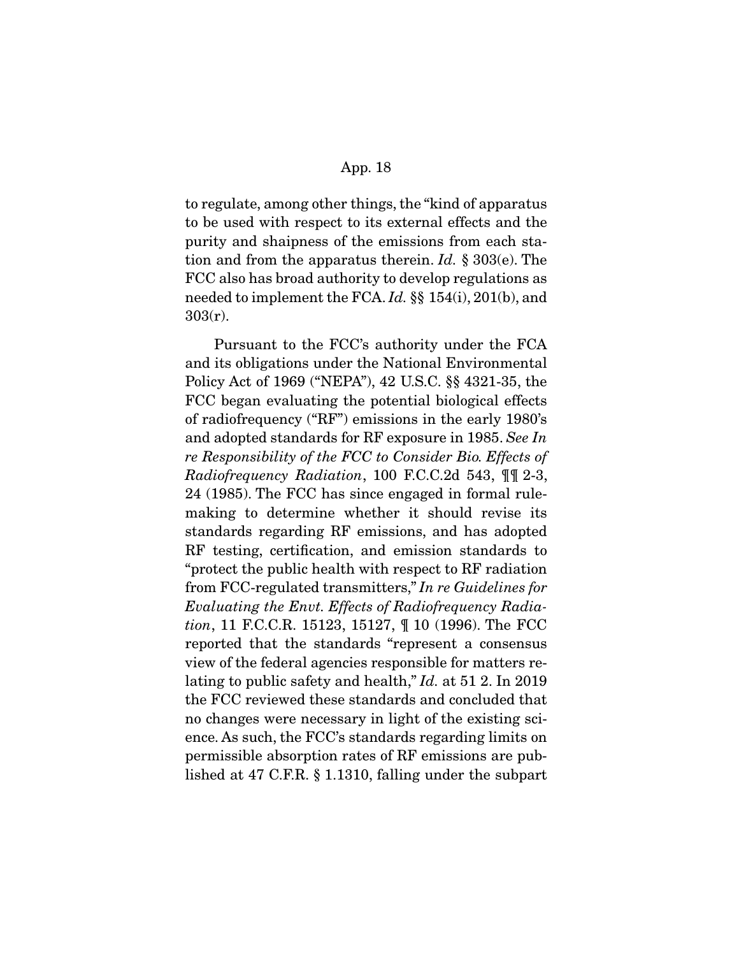to regulate, among other things, the "kind of apparatus to be used with respect to its external effects and the purity and shaipness of the emissions from each station and from the apparatus therein. Id.  $\S 303(e)$ . The FCC also has broad authority to develop regulations as needed to implement the FCA. Id. §§ 154(i), 201(b), and 303(r).

 Pursuant to the FCC's authority under the FCA and its obligations under the National Environmental Policy Act of 1969 ("NEPA"), 42 U.S.C. §§ 4321-35, the FCC began evaluating the potential biological effects of radiofrequency ("RF") emissions in the early 1980's and adopted standards for RF exposure in 1985. See In re Responsibility of the FCC to Consider Bio. Effects of Radiofrequency Radiation, 100 F.C.C.2d 543, ¶¶ 2-3, 24 (1985). The FCC has since engaged in formal rulemaking to determine whether it should revise its standards regarding RF emissions, and has adopted RF testing, certification, and emission standards to "protect the public health with respect to RF radiation from FCC-regulated transmitters," In re Guidelines for Evaluating the Envt. Effects of Radiofrequency Radiation, 11 F.C.C.R. 15123, 15127, ¶ 10 (1996). The FCC reported that the standards "represent a consensus view of the federal agencies responsible for matters relating to public safety and health," *Id.* at 51 2. In 2019 the FCC reviewed these standards and concluded that no changes were necessary in light of the existing science. As such, the FCC's standards regarding limits on permissible absorption rates of RF emissions are published at 47 C.F.R. § 1.1310, falling under the subpart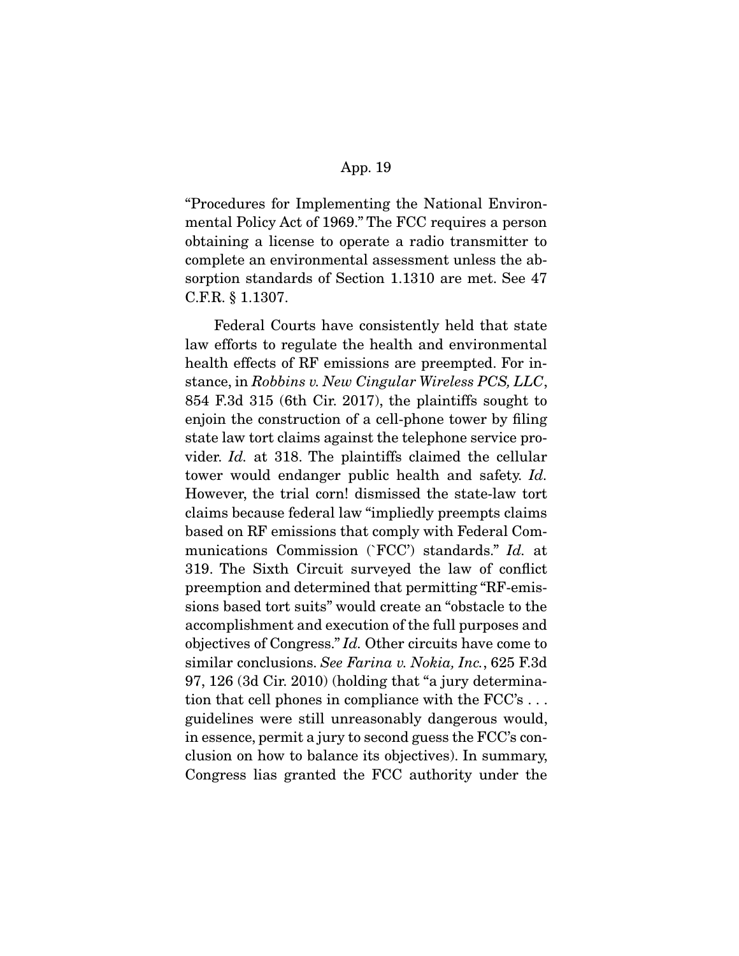"Procedures for Implementing the National Environmental Policy Act of 1969." The FCC requires a person obtaining a license to operate a radio transmitter to complete an environmental assessment unless the absorption standards of Section 1.1310 are met. See 47 C.F.R. § 1.1307.

 Federal Courts have consistently held that state law efforts to regulate the health and environmental health effects of RF emissions are preempted. For instance, in Robbins v. New Cingular Wireless PCS, LLC, 854 F.3d 315 (6th Cir. 2017), the plaintiffs sought to enjoin the construction of a cell-phone tower by filing state law tort claims against the telephone service provider. Id. at 318. The plaintiffs claimed the cellular tower would endanger public health and safety. Id. However, the trial corn! dismissed the state-law tort claims because federal law "impliedly preempts claims based on RF emissions that comply with Federal Communications Commission (`FCC') standards." Id. at 319. The Sixth Circuit surveyed the law of conflict preemption and determined that permitting "RF-emissions based tort suits" would create an "obstacle to the accomplishment and execution of the full purposes and objectives of Congress." Id. Other circuits have come to similar conclusions. See Farina v. Nokia, Inc., 625 F.3d 97, 126 (3d Cir. 2010) (holding that "a jury determination that cell phones in compliance with the FCC's . . . guidelines were still unreasonably dangerous would, in essence, permit a jury to second guess the FCC's conclusion on how to balance its objectives). In summary, Congress lias granted the FCC authority under the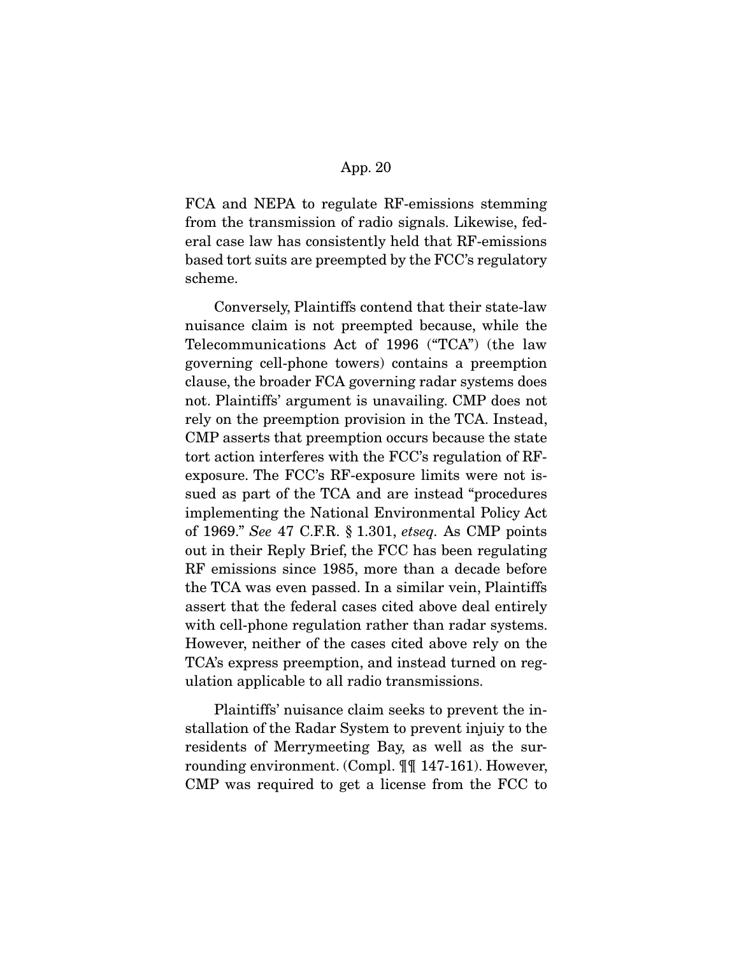FCA and NEPA to regulate RF-emissions stemming from the transmission of radio signals. Likewise, federal case law has consistently held that RF-emissions based tort suits are preempted by the FCC's regulatory scheme.

 Conversely, Plaintiffs contend that their state-law nuisance claim is not preempted because, while the Telecommunications Act of 1996 ("TCA") (the law governing cell-phone towers) contains a preemption clause, the broader FCA governing radar systems does not. Plaintiffs' argument is unavailing. CMP does not rely on the preemption provision in the TCA. Instead, CMP asserts that preemption occurs because the state tort action interferes with the FCC's regulation of RFexposure. The FCC's RF-exposure limits were not issued as part of the TCA and are instead "procedures implementing the National Environmental Policy Act of 1969." See 47 C.F.R. § 1.301, etseq. As CMP points out in their Reply Brief, the FCC has been regulating RF emissions since 1985, more than a decade before the TCA was even passed. In a similar vein, Plaintiffs assert that the federal cases cited above deal entirely with cell-phone regulation rather than radar systems. However, neither of the cases cited above rely on the TCA's express preemption, and instead turned on regulation applicable to all radio transmissions.

 Plaintiffs' nuisance claim seeks to prevent the installation of the Radar System to prevent injuiy to the residents of Merrymeeting Bay, as well as the surrounding environment. (Compl. ¶¶ 147-161). However, CMP was required to get a license from the FCC to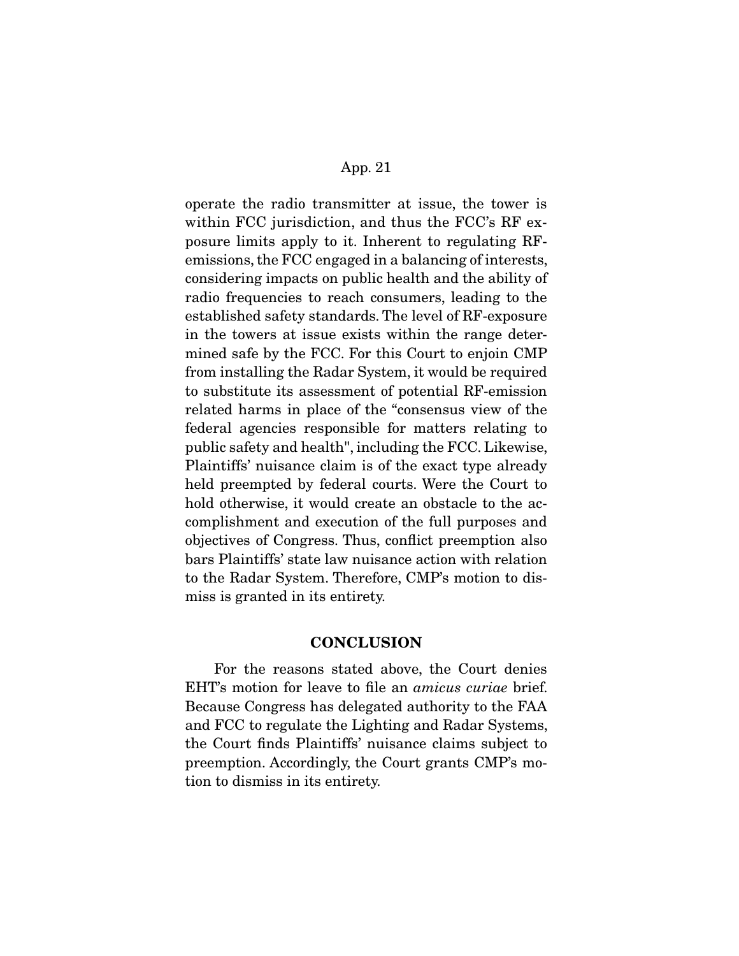operate the radio transmitter at issue, the tower is within FCC jurisdiction, and thus the FCC's RF exposure limits apply to it. Inherent to regulating RFemissions, the FCC engaged in a balancing of interests, considering impacts on public health and the ability of radio frequencies to reach consumers, leading to the established safety standards. The level of RF-exposure in the towers at issue exists within the range determined safe by the FCC. For this Court to enjoin CMP from installing the Radar System, it would be required to substitute its assessment of potential RF-emission related harms in place of the "consensus view of the federal agencies responsible for matters relating to public safety and health", including the FCC. Likewise, Plaintiffs' nuisance claim is of the exact type already held preempted by federal courts. Were the Court to hold otherwise, it would create an obstacle to the accomplishment and execution of the full purposes and objectives of Congress. Thus, conflict preemption also bars Plaintiffs' state law nuisance action with relation to the Radar System. Therefore, CMP's motion to dismiss is granted in its entirety.

### **CONCLUSION**

 For the reasons stated above, the Court denies EHT's motion for leave to file an amicus curiae brief. Because Congress has delegated authority to the FAA and FCC to regulate the Lighting and Radar Systems, the Court finds Plaintiffs' nuisance claims subject to preemption. Accordingly, the Court grants CMP's motion to dismiss in its entirety.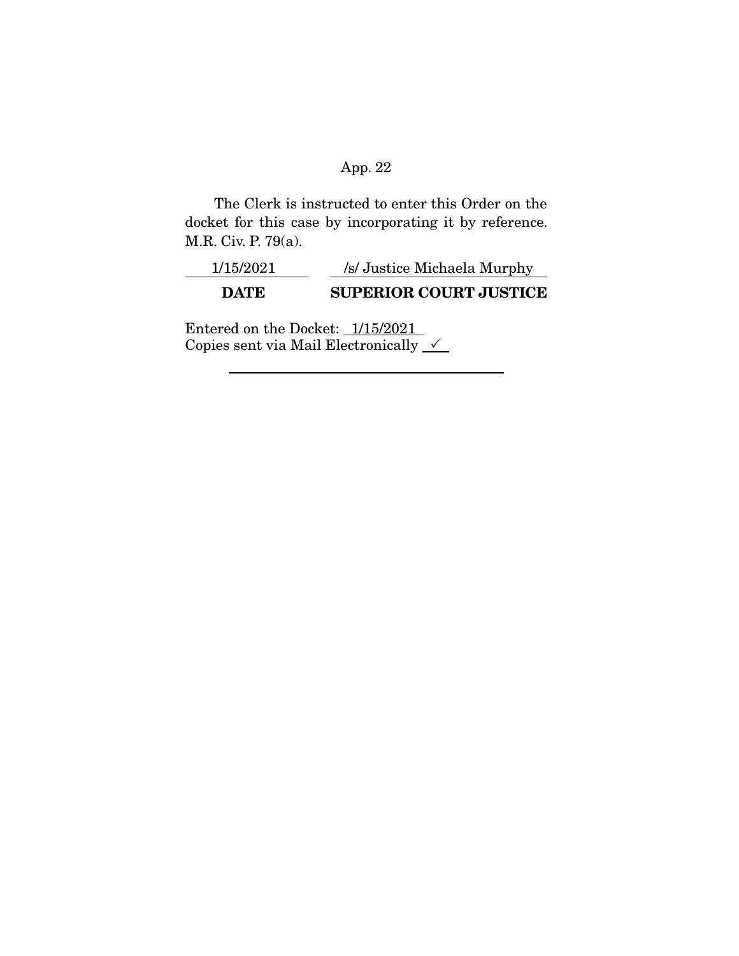The Clerk is instructed to enter this Order on the docket for this case by incorporating it by reference. M.R. Civ. P. 79(a).

| 1/15/2021 | /s/ Justice Michaela Murphy   |
|-----------|-------------------------------|
| DATE.     | <b>SUPERIOR COURT JUSTICE</b> |

Entered on the Docket:  $1/15/2021$ Copies sent via Mail Electronically  $\sqrt{\phantom{a}}$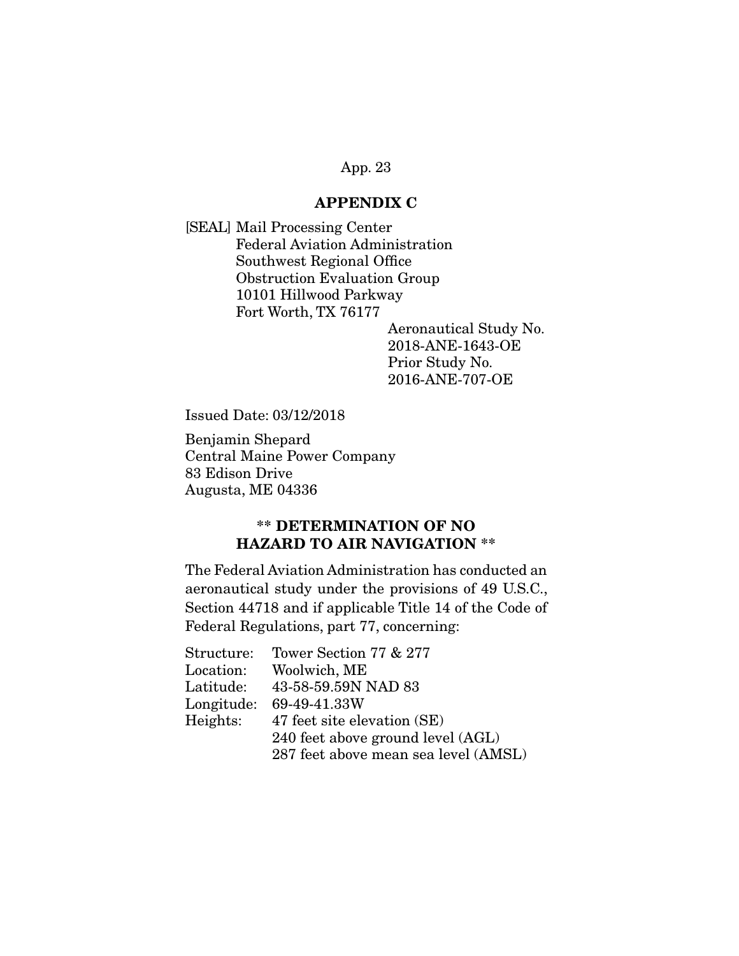### **APPENDIX C**

[SEAL] Mail Processing Center Federal Aviation Administration Southwest Regional Office Obstruction Evaluation Group 10101 Hillwood Parkway Fort Worth, TX 76177

> Aeronautical Study No. 2018-ANE-1643-OE Prior Study No. 2016-ANE-707-OE

Issued Date: 03/12/2018

Benjamin Shepard Central Maine Power Company 83 Edison Drive Augusta, ME 04336

# **\*\* DETERMINATION OF NO HAZARD TO AIR NAVIGATION \*\***

The Federal Aviation Administration has conducted an aeronautical study under the provisions of 49 U.S.C., Section 44718 and if applicable Title 14 of the Code of Federal Regulations, part 77, concerning:

| Structure:            | Tower Section 77 & 277               |
|-----------------------|--------------------------------------|
| Location:             | Woolwich, ME                         |
| ${\rm Lattice}\colon$ | 43-58-59.59N NAD 83                  |
| Longitude:            | 69-49-41.33W                         |
| Heights:              | 47 feet site elevation (SE)          |
|                       | 240 feet above ground level (AGL)    |
|                       | 287 feet above mean sea level (AMSL) |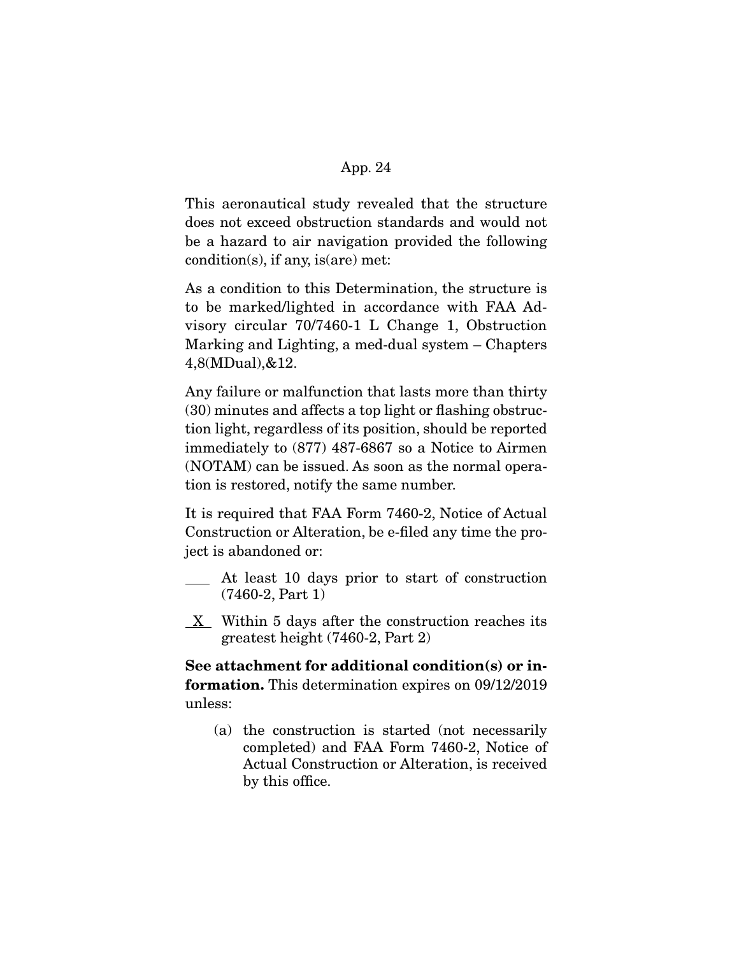This aeronautical study revealed that the structure does not exceed obstruction standards and would not be a hazard to air navigation provided the following condition(s), if any, is(are) met:

As a condition to this Determination, the structure is to be marked/lighted in accordance with FAA Advisory circular 70/7460-1 L Change 1, Obstruction Marking and Lighting, a med-dual system – Chapters 4,8(MDual),&12.

Any failure or malfunction that lasts more than thirty (30) minutes and affects a top light or flashing obstruction light, regardless of its position, should be reported immediately to (877) 487-6867 so a Notice to Airmen (NOTAM) can be issued. As soon as the normal operation is restored, notify the same number.

It is required that FAA Form 7460-2, Notice of Actual Construction or Alteration, be e-filed any time the project is abandoned or:

- At least 10 days prior to start of construction (7460-2, Part 1)
- $X$  Within 5 days after the construction reaches its greatest height (7460-2, Part 2)

**See attachment for additional condition(s) or information.** This determination expires on 09/12/2019 unless:

(a) the construction is started (not necessarily completed) and FAA Form 7460-2, Notice of Actual Construction or Alteration, is received by this office.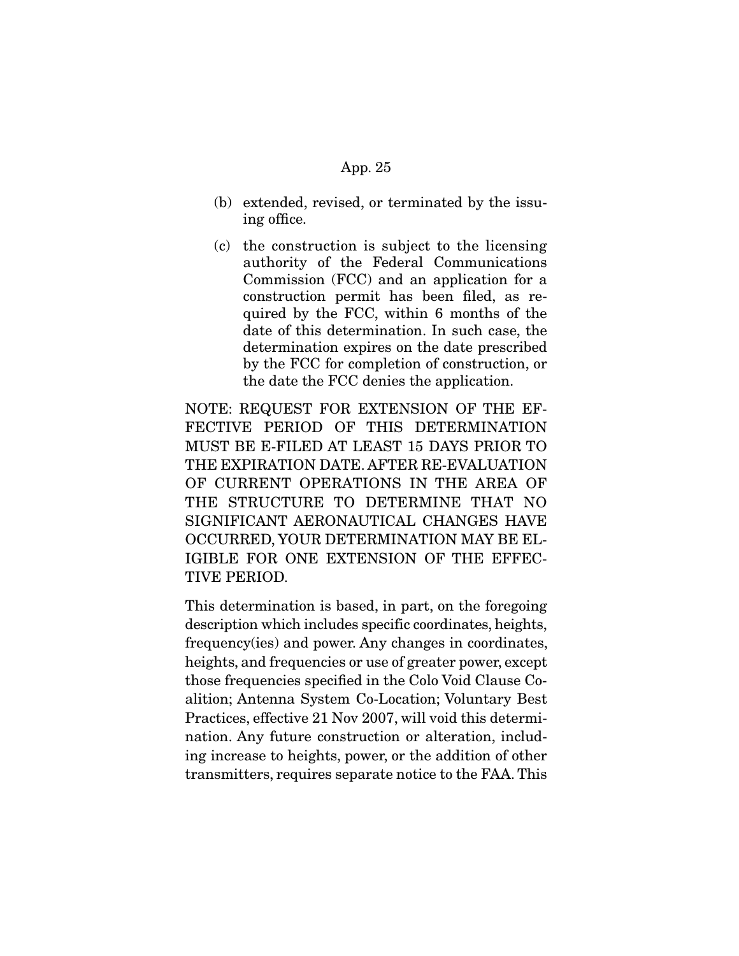- (b) extended, revised, or terminated by the issuing office.
- (c) the construction is subject to the licensing authority of the Federal Communications Commission (FCC) and an application for a construction permit has been filed, as required by the FCC, within 6 months of the date of this determination. In such case, the determination expires on the date prescribed by the FCC for completion of construction, or the date the FCC denies the application.

NOTE: REQUEST FOR EXTENSION OF THE EF-FECTIVE PERIOD OF THIS DETERMINATION MUST BE E-FILED AT LEAST 15 DAYS PRIOR TO THE EXPIRATION DATE. AFTER RE-EVALUATION OF CURRENT OPERATIONS IN THE AREA OF THE STRUCTURE TO DETERMINE THAT NO SIGNIFICANT AERONAUTICAL CHANGES HAVE OCCURRED, YOUR DETERMINATION MAY BE EL-IGIBLE FOR ONE EXTENSION OF THE EFFEC-TIVE PERIOD.

This determination is based, in part, on the foregoing description which includes specific coordinates, heights, frequency(ies) and power. Any changes in coordinates, heights, and frequencies or use of greater power, except those frequencies specified in the Colo Void Clause Coalition; Antenna System Co-Location; Voluntary Best Practices, effective 21 Nov 2007, will void this determination. Any future construction or alteration, including increase to heights, power, or the addition of other transmitters, requires separate notice to the FAA. This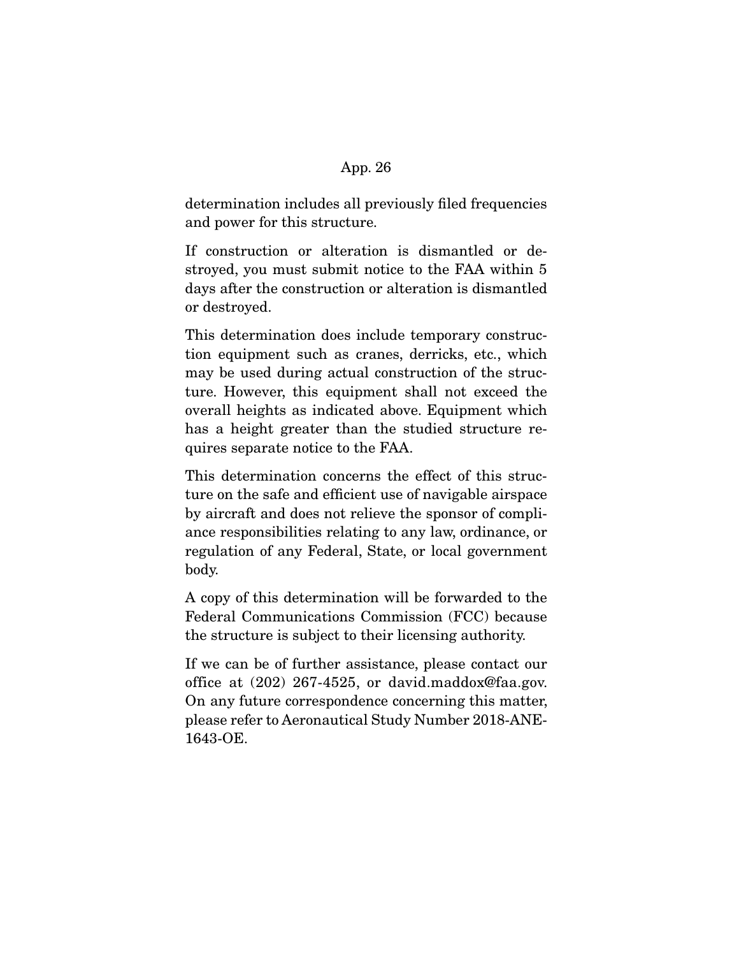determination includes all previously filed frequencies and power for this structure.

If construction or alteration is dismantled or destroyed, you must submit notice to the FAA within 5 days after the construction or alteration is dismantled or destroyed.

This determination does include temporary construction equipment such as cranes, derricks, etc., which may be used during actual construction of the structure. However, this equipment shall not exceed the overall heights as indicated above. Equipment which has a height greater than the studied structure requires separate notice to the FAA.

This determination concerns the effect of this structure on the safe and efficient use of navigable airspace by aircraft and does not relieve the sponsor of compliance responsibilities relating to any law, ordinance, or regulation of any Federal, State, or local government body.

A copy of this determination will be forwarded to the Federal Communications Commission (FCC) because the structure is subject to their licensing authority.

If we can be of further assistance, please contact our office at (202) 267-4525, or david.maddox@faa.gov. On any future correspondence concerning this matter, please refer to Aeronautical Study Number 2018-ANE-1643-OE.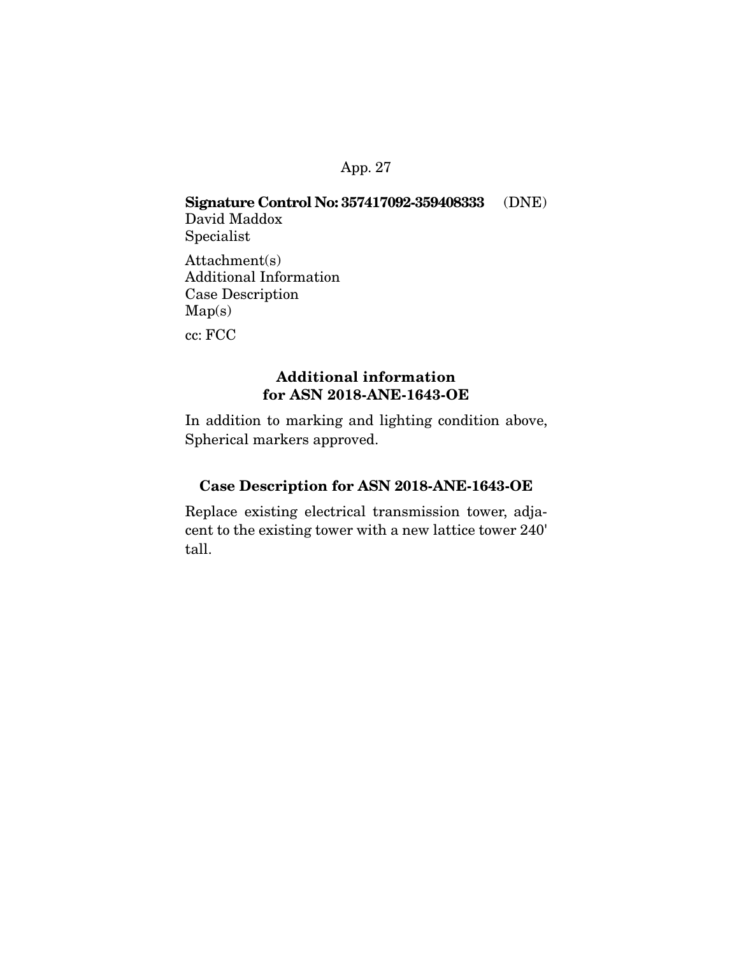# **Signature Control No: 357417092-359408333** (DNE) David Maddox

Specialist

Attachment(s) Additional Information Case Description Map(s) cc: FCC

# **Additional information for ASN 2018-ANE-1643-OE**

In addition to marking and lighting condition above, Spherical markers approved.

# **Case Description for ASN 2018-ANE-1643-OE**

Replace existing electrical transmission tower, adjacent to the existing tower with a new lattice tower 240' tall.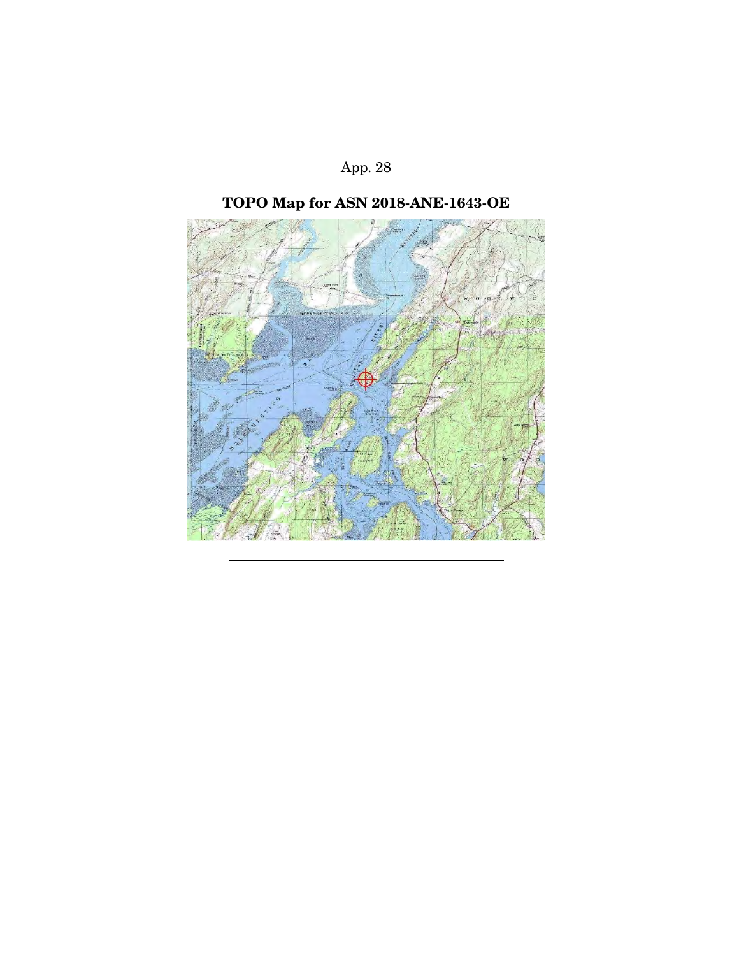

# **TOPO Map for ASN 2018-ANE-1643-OE**

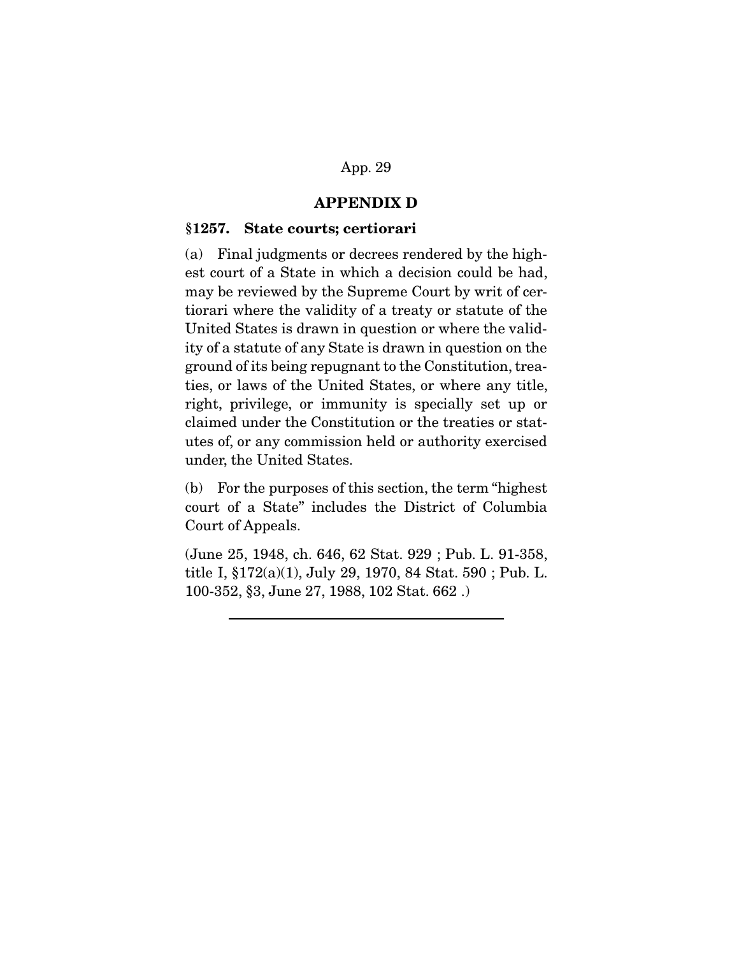### **APPENDIX D**

#### **§1257. State courts; certiorari**

(a) Final judgments or decrees rendered by the highest court of a State in which a decision could be had, may be reviewed by the Supreme Court by writ of certiorari where the validity of a treaty or statute of the United States is drawn in question or where the validity of a statute of any State is drawn in question on the ground of its being repugnant to the Constitution, treaties, or laws of the United States, or where any title, right, privilege, or immunity is specially set up or claimed under the Constitution or the treaties or statutes of, or any commission held or authority exercised under, the United States.

(b) For the purposes of this section, the term "highest court of a State" includes the District of Columbia Court of Appeals.

(June 25, 1948, ch. 646, 62 Stat. 929 ; Pub. L. 91-358, title I, §172(a)(1), July 29, 1970, 84 Stat. 590 ; Pub. L. 100-352, §3, June 27, 1988, 102 Stat. 662 .)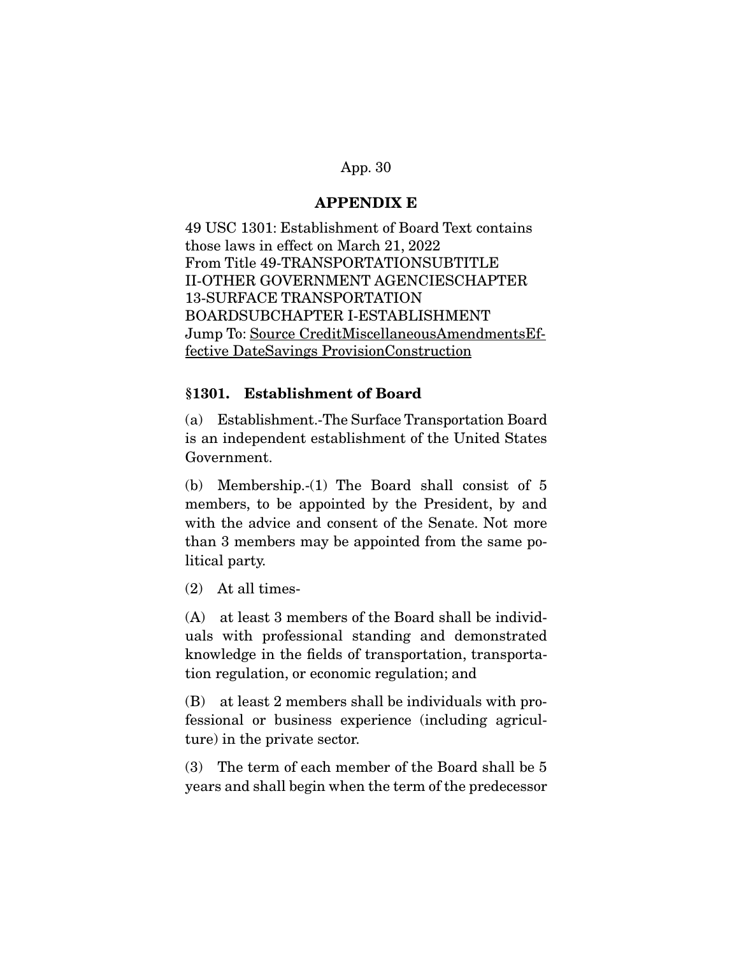## **APPENDIX E**

49 USC 1301: Establishment of Board Text contains those laws in effect on March 21, 2022 From Title 49-TRANSPORTATIONSUBTITLE II-OTHER GOVERNMENT AGENCIESCHAPTER 13-SURFACE TRANSPORTATION BOARDSUBCHAPTER I-ESTABLISHMENT Jump To: Source CreditMiscellaneousAmendmentsEffective DateSavings ProvisionConstruction

## **§1301. Establishment of Board**

(a) Establishment.-The Surface Transportation Board is an independent establishment of the United States Government.

(b) Membership.-(1) The Board shall consist of 5 members, to be appointed by the President, by and with the advice and consent of the Senate. Not more than 3 members may be appointed from the same political party.

(2) At all times-

(A) at least 3 members of the Board shall be individuals with professional standing and demonstrated knowledge in the fields of transportation, transportation regulation, or economic regulation; and

(B) at least 2 members shall be individuals with professional or business experience (including agriculture) in the private sector.

(3) The term of each member of the Board shall be 5 years and shall begin when the term of the predecessor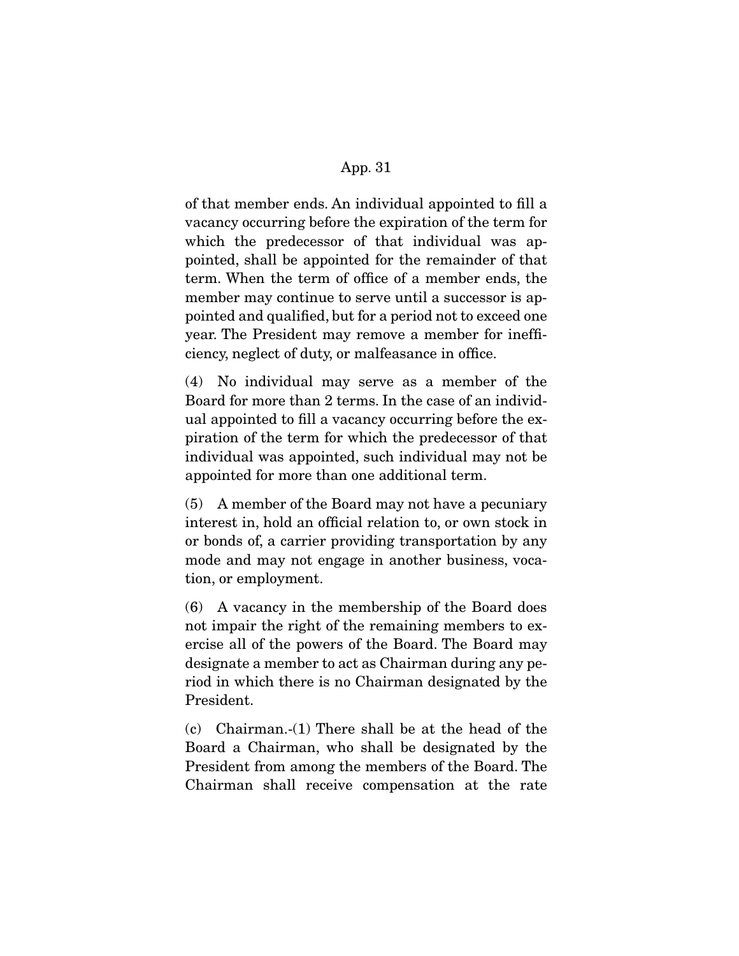of that member ends. An individual appointed to fill a vacancy occurring before the expiration of the term for which the predecessor of that individual was appointed, shall be appointed for the remainder of that term. When the term of office of a member ends, the member may continue to serve until a successor is appointed and qualified, but for a period not to exceed one year. The President may remove a member for inefficiency, neglect of duty, or malfeasance in office.

(4) No individual may serve as a member of the Board for more than 2 terms. In the case of an individual appointed to fill a vacancy occurring before the expiration of the term for which the predecessor of that individual was appointed, such individual may not be appointed for more than one additional term.

(5) A member of the Board may not have a pecuniary interest in, hold an official relation to, or own stock in or bonds of, a carrier providing transportation by any mode and may not engage in another business, vocation, or employment.

(6) A vacancy in the membership of the Board does not impair the right of the remaining members to exercise all of the powers of the Board. The Board may designate a member to act as Chairman during any period in which there is no Chairman designated by the President.

(c) Chairman.-(1) There shall be at the head of the Board a Chairman, who shall be designated by the President from among the members of the Board. The Chairman shall receive compensation at the rate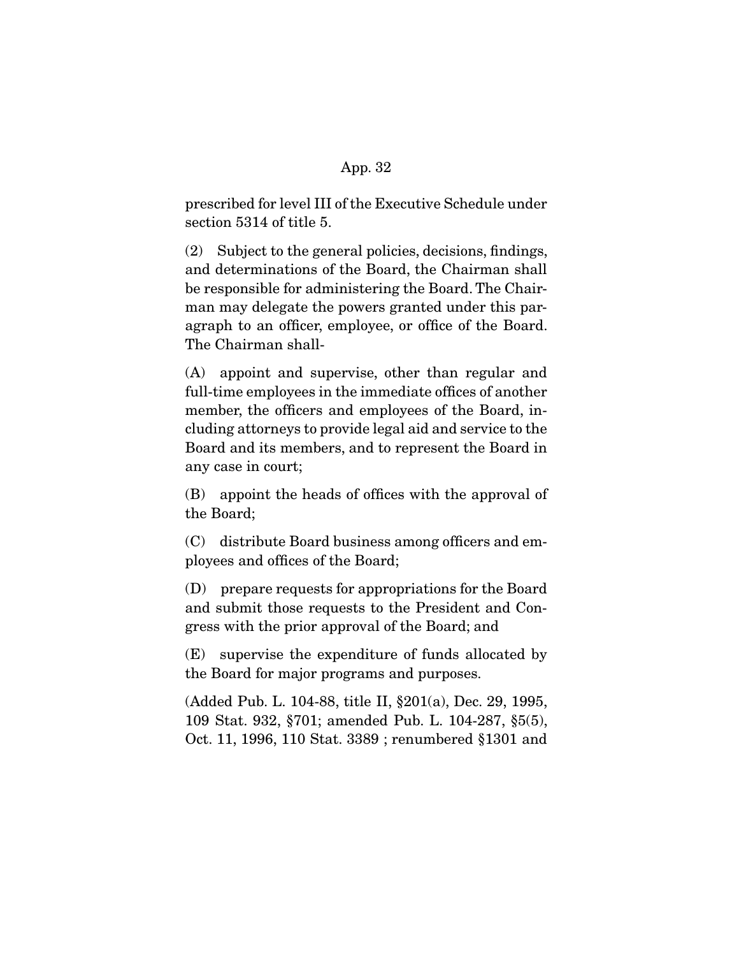prescribed for level III of the Executive Schedule under section 5314 of title 5.

(2) Subject to the general policies, decisions, findings, and determinations of the Board, the Chairman shall be responsible for administering the Board. The Chairman may delegate the powers granted under this paragraph to an officer, employee, or office of the Board. The Chairman shall-

(A) appoint and supervise, other than regular and full-time employees in the immediate offices of another member, the officers and employees of the Board, including attorneys to provide legal aid and service to the Board and its members, and to represent the Board in any case in court;

(B) appoint the heads of offices with the approval of the Board;

(C) distribute Board business among officers and employees and offices of the Board;

(D) prepare requests for appropriations for the Board and submit those requests to the President and Congress with the prior approval of the Board; and

(E) supervise the expenditure of funds allocated by the Board for major programs and purposes.

(Added Pub. L. 104-88, title II, §201(a), Dec. 29, 1995, 109 Stat. 932, §701; amended Pub. L. 104-287, §5(5), Oct. 11, 1996, 110 Stat. 3389 ; renumbered §1301 and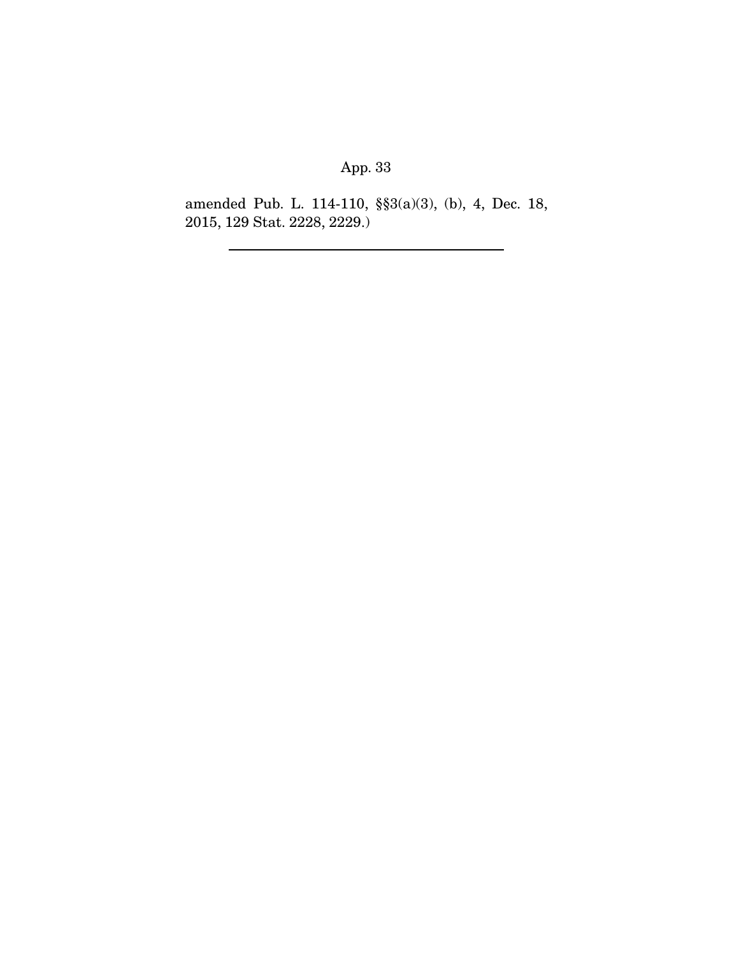amended Pub. L. 114-110, §§3(a)(3), (b), 4, Dec. 18, 2015, 129 Stat. 2228, 2229.)